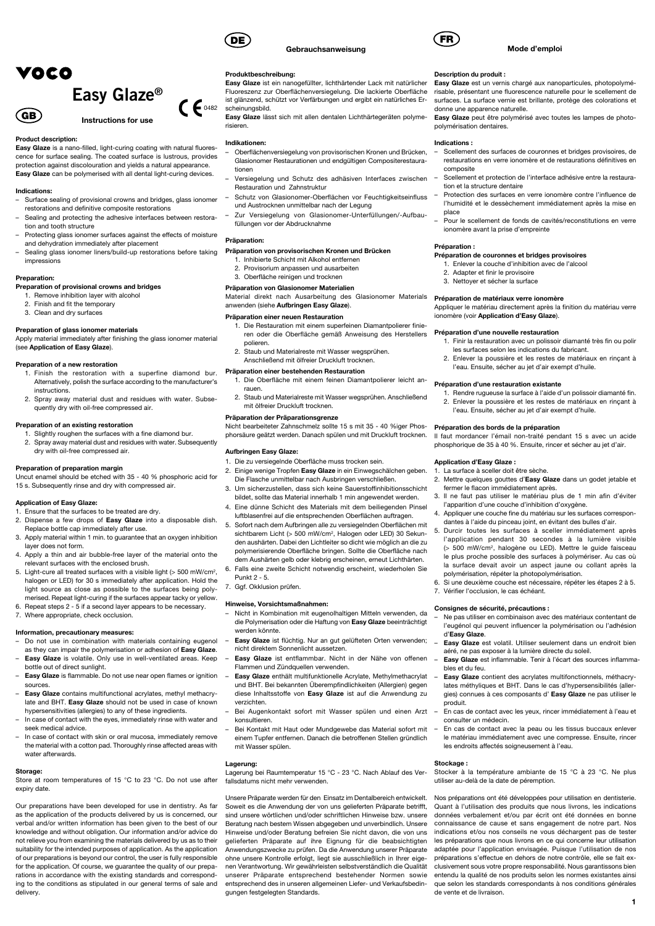# VOCO



#### Product description:

Easy Glaze is a nano-filled, light-curing coating with natural fluorescence for surface sealing. The coated surface is lustrous, provides protection against discolouration and yields a natural appearance. Easy Glaze can be polymerised with all dental light-curing devices.

#### Indications:

GB)

- Surface sealing of provisional crowns and bridges, glass ionomer restorations and definitive composite restorations
- Sealing and protecting the adhesive interfaces between restoration and tooth structure
- Protecting glass ionomer surfaces against the effects of moisture and dehydration immediately after placement
- Sealing glass ionomer liners/build-up restorations before taking impressions

## Preparation:

- Preparation of provisional crowns and bridges
- 1. Remove inhibition layer with alcohol 2. Finish and fit the temporary
- 3. Clean and dry surfaces

#### Preparation of glass ionomer materials

Apply material immediately after finishing the glass ionomer material (see Application of Easy Glaze).

## Preparation of a new restoration

- 1. Finish the restoration with a superfine diamond bur. Alternatively, polish the surface according to the manufacturer's instructions.
- 2. Spray away material dust and residues with water. Subsequently dry with oil-free compressed air.

## Preparation of an existing restoration

1. Slightly roughen the surfaces with a fine diamond bur. 2. Spray away material dust and residues with water. Subsequently dry with oil-free compressed air.

#### Preparation of preparation margin

Uncut enamel should be etched with 35 - 40 % phosphoric acid for 15 s. Subsequently rinse and dry with compressed air.

#### Application of Easy Glaze:

- 1. Ensure that the surfaces to be treated are dry.
- 2. Dispense a few drops of Easy Glaze into a disposable dish. Replace bottle cap immediately after use. 3. Apply material within 1 min. to guarantee that an oxygen inhibition
- layer does not form.
- 4. Apply a thin and air bubble-free layer of the material onto the relevant surfaces with the enclosed brush.
- 5. Light-cure all treated surfaces with a visible light (> 500 mW/cm2, halogen or LED) for 30 s immediately after application. Hold the light source as close as possible to the surfaces being polymerised. Repeat light-curing if the surfaces appear tacky or yellow.
- 6. Repeat steps 2 5 if a second layer appears to be necessary.

## 7. Where appropriate, check occlusion.

## Information, precautionary measures:

- Do not use in combination with materials containing eugenol as they can impair the polymerisation or adhesion of Easy Glaze.
- Easy Glaze is volatile. Only use in well-ventilated areas. Keep bottle out of direct sunlight.
- Easy Glaze is flammable. Do not use near open flames or ignition sources.
- Easy Glaze contains multifunctional acrylates, methyl methacrylate and BHT. Easy Glaze should not be used in case of known hypersensitivities (allergies) to any of these ingredients.
- In case of contact with the eyes, immediately rinse with water and seek medical advice.
- In case of contact with skin or oral mucosa, immediately remove the material with a cotton pad. Thoroughly rinse affected areas with water afterwards.

#### Storage:

Store at room temperatures of 15 °C to 23 °C. Do not use after expiry date.

Our preparations have been developed for use in dentistry. As far as the application of the products delivered by us is concerned, our verbal and/or written information has been given to the best of our knowledge and without obligation. Our information and/or advice do not relieve you from examining the materials delivered by us as to their suitability for the intended purposes of application. As the application of our preparations is beyond our control, the user is fully responsible for the application. Of course, we guarantee the quality of our preparations in accordance with the existing standards and corresponding to the conditions as stipulated in our general terms of sale and delivery.



Produktbeschreibung:

scheinungsbild.

risieren. Indikationen:

tionen

Präparation:

polieren.

rauen.

Aufbringen Easy Glaze:

Punkt 2 - 5. 7. Ggf. Okklusion prüfen.

werden könnte.

verzichten.

konsultieren.

Lagerung:

mit Wasser spülen.

fallsdatums nicht mehr verwenden.

gungen festgelegten Standards.

Hinweise, Vorsichtsmaßnahmen:

nicht direktem Sonnenlicht aussetzen.

Flammen und Zündquellen verwenden.

Restauration und Zahnstruktur

füllungen vor der Abdrucknahme

anwenden (siehe Aufbringen Easy Glaze). Präparation einer neuen Restauration

 mit ölfreier Druckluft trocknen. Präparation der Präparationsgrenze

1. Die zu versiegelnde Oberfläche muss trocken sein.

und Austrocknen unmittelbar nach der Legung

Präparation von provisorischen Kronen und Brücken 1. Inhibierte Schicht mit Alkohol entfernen 2. Provisorium anpassen und ausarbeiten 3. Oberfläche reinigen und trocknen Präparation von Glasionomer Materialien

2. Staub und Materialreste mit Wasser wegsprühen. Anschließend mit ölfreier Druckluft trocknen. Präparation einer bestehenden Restauration

#### Gebrauchsanweisung

Fluoreszenz zur Oberflächenversiegelung. Die lackierte Oberfläche ist glänzend, schützt vor Verfärbungen und ergibt ein natürliches Er-

Easy Glaze lässt sich mit allen dentalen Lichthärtegeräten polyme-

– Oberflächenversiegelung von provisorischen Kronen und Brücken, Glasionomer Restaurationen und endgültigen Compositerestaura-

– Versiegelung und Schutz des adhäsiven Interfaces zwischen

– Schutz von Glasionomer-Oberflächen vor Feuchtigkeitseinfluss

– Zur Versiegelung von Glasionomer-Unterfüllungen/-Aufbau-

Material direkt nach Ausarbeitung des Glasionomer Materials

1. Die Restauration mit einem superfeinen Diamantpolierer finie ren oder die Oberfläche gemäß Anweisung des Herstellers

1. Die Oberfläche mit einem feinen Diamantpolierer leicht an-

2. Staub und Materialreste mit Wasser wegsprühen. Anschließend

Nicht bearbeiteter Zahnschmelz sollte 15 s mit 35 - 40 %iger Phosphorsäure geätzt werden. Danach spülen und mit Druckluft trocknen.

2. Einige wenige Tropfen Easy Glaze in ein Einwegschälchen geben. Die Flasche unmittelbar nach Ausbringen verschließen. 3. Um sicherzustellen, dass sich keine Sauerstoffinhibitionsschicht bildet, sollte das Material innerhalb 1 min angewendet werden. 4. Eine dünne Schicht des Materials mit dem beiliegenden Pinsel luftblasenfrei auf die entsprechenden Oberflächen auftragen. 5. Sofort nach dem Aufbringen alle zu versiegelnden Oberflächen mit sichtbarem Licht (> 500 mW/cm<sup>2</sup>, Halogen oder LED) 30 Sekunden aushärten. Dabei den Lichtleiter so dicht wie möglich an die zu polymerisierende Oberfläche bringen. Sollte die Oberfläche nach dem Aushärten gelb oder klebrig erscheinen, erneut Lichthärten. 6. Falls eine zweite Schicht notwendig erscheint, wiederholen Sie

die Polymerisation oder die Haftung von Easy Glaze beeinträchtigt

Easy Glaze ist flüchtig. Nur an gut gelüfteten Orten verwenden;

– Easy Glaze ist entflammbar. Nicht in der Nähe von offenen

– Easy Glaze enthält multifunktionelle Acrylate, Methylmethacrylat und BHT. Bei bekannten Überempfindlichkeiten (Allergien) gegen diese Inhaltsstoffe von Easy Glaze ist auf die Anwendung zu

– Bei Augenkontakt sofort mit Wasser spülen und einen Arzt

– Bei Kontakt mit Haut oder Mundgewebe das Material sofort mit einem Tupfer entfernen. Danach die betroffenen Stellen gründlich

Lagerung bei Raumtemperatur 15 °C - 23 °C. Nach Ablauf des Ver-

Unsere Präparate werden für den Einsatz im Dentalbereich entwickelt. Soweit es die Anwendung der von uns gelieferten Präparate betrifft, sind unsere wörtlichen und/oder schriftlichen Hinweise bzw. unsere Beratung nach bestem Wissen abgegeben und unverbindlich. Unsere Hinweise und/oder Beratung befreien Sie nicht davon, die von uns gelieferten Präparate auf ihre Eignung für die beabsichtigten Anwendungszwecke zu prüfen. Da die Anwendung unserer Präparate ohne unsere Kontrolle erfolgt, liegt sie ausschließlich in Ihrer eigenen Verantwortung. Wir gewährleisten selbstverständlich die Qualität unserer Präparate entsprechend bestehender Normen sowie entsprechend des in unseren allgemeinen Liefer- und Verkaufsbedin-



#### Mode d'emploi

#### Easy Glaze ist ein nanogefüllter, lichthärtender Lack mit natürlicher Description du produit :

Easy Glaze est un vernis chargé aux nanoparticules, photopolymérisable, présentant une fluorescence naturelle pour le scellement de surfaces. La surface vernie est brillante, protège des colorations et donne une apparence naturelle.

Easy Glaze peut être polymérisé avec toutes les lampes de photopolymérisation dentaires.

#### Indications :

- Scellement des surfaces de couronnes et bridges provisoires, de restaurations en verre ionomère et de restaurations définitives en composite
- Scellement et protection de l'interface adhésive entre la restauration et la structure dentaire
- Protection des surfaces en verre ionomère contre l'influence de l'humidité et le dessèchement immédiatement après la mise en place
- Pour le scellement de fonds de cavités/reconstitutions en verre ionomère avant la prise d'empreinte

#### Préparation :

#### Préparation de couronnes et bridges provisoires

1. Enlever la couche d'inhibition avec de l'alcool

- 2. Adapter et finir le provisoire
- 3. Nettoyer et sécher la surface

### Préparation de matériaux verre ionomère

Appliquer le matériau directement après la finition du matériau verre ionomère (voir Application d'Easy Glaze).

#### Préparation d'une nouvelle restauration

- 1. Finir la restauration avec un polissoir diamanté très fin ou polir les surfaces selon les indications du fabricant.
- 2. Enlever la poussière et les restes de matériaux en rinçant à l'eau. Ensuite, sécher au jet d'air exempt d'huile.

#### Préparation d'une restauration existante

1. Rendre rugueuse la surface à l'aide d'un polissoir diamanté fin. 2. Enlever la poussière et les restes de matériaux en rinçant à l'eau. Ensuite, sécher au jet d'air exempt d'huile.

#### Préparation des bords de la préparation

Il faut mordancer l'émail non-traité pendant 15 s avec un acide phosphorique de 35 à 40 %. Ensuite, rincer et sécher au jet d'air.

## Application d'Easy Glaze :

- 1. La surface à sceller doit être sèche. 2. Mettre quelques gouttes d'Easy Glaze dans un godet jetable et
- fermer le flacon immédiatement après.
- 3. Il ne faut pas utiliser le matériau plus de 1 min afin d'éviter l'apparition d'une couche d'inhibition d'oxygène. 4. Appliquer une couche fine du matériau sur les surfaces correspon-
- dantes à l'aide du pinceau joint, en évitant des bulles d'air.
- 5. Durcir toutes les surfaces à sceller immédiatement après l'application pendant 30 secondes à la lumière visible (> 500 mW/cm2, halogène ou LED). Mettre le guide faisceau le plus proche possible des surfaces à polymériser. Au cas où la surface devait avoir un aspect jaune ou collant après la polymérisation, répéter la photopolymérisation.
- 6. Si une deuxième couche est nécessaire, répéter les étapes 2 à 5.
- 7. Vérifier l'occlusion, le cas échéant.

#### – Nicht in Kombination mit eugenolhaltigen Mitteln verwenden, da Consignes de sécurité, précautions :

- Ne pas utiliser en combinaison avec des matériaux contentant de l'eugénol qui peuvent influencer la polymérisation ou l'adhésion d'Easy Glaze.
- Easy Glaze est volatil. Utiliser seulement dans un endroit bien aéré, ne pas exposer à la lumière directe du soleil.
- Easy Glaze est inflammable. Tenir à l'écart des sources inflammables et du feu.
- Easy Glaze contient des acrylates multifonctionnels, méthacrvlates méthyliques et BHT. Dans le cas d'hypersensibilités (allergies) connues à ces composants d' Easy Glaze ne pas utiliser le produit.
- En cas de contact avec les yeux, rincer immédiatement à l'eau et consulter un médecin.
- En cas de contact avec la peau ou les tissus buccaux enlever le matériau immédiatement avec une compresse. Ensuite, rincer les endroits affectés soigneusement à l'eau.

#### Stockage:

Stocker à la température ambiante de 15 °C à 23 °C. Ne plus utiliser au-delà de la date de péremption.

Nos préparations ont été développées pour utilisation en dentisterie. Quant à l'utilisation des produits que nous livrons, les indications données verbalement et/ou par écrit ont été données en bonne connaissance de cause et sans engagement de notre part. Nos indications et/ou nos conseils ne vous déchargent pas de tester les préparations que nous livrons en ce qui concerne leur utilisation adaptée pour l'application envisagée. Puisque l'utilisation de nos préparations s'effectue en dehors de notre contrôle, elle se fait exclusivement sous votre propre responsabilité. Nous garantissons bien entendu la qualité de nos produits selon les normes existantes ainsi que selon les standards correspondants à nos conditions générales de vente et de livraison.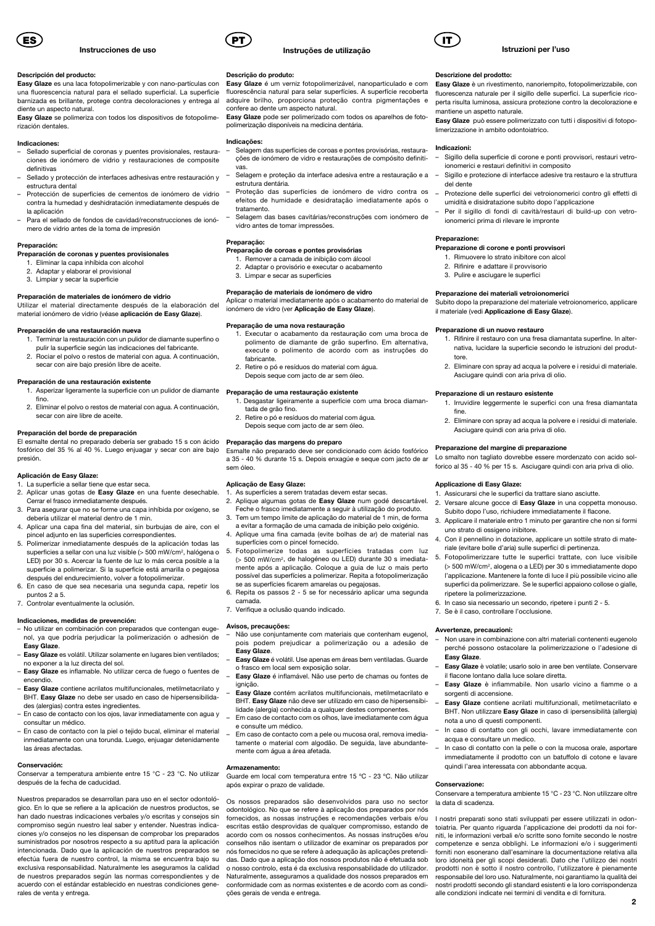

#### Descripción del producto:

Easy Glaze es una laca fotopolimerizable y con nano-partículas con una fluorescencia natural para el sellado superficial. La superficie barnizada es brillante, protege contra decoloraciones y entrega al diente un aspecto natural.

Easy Glaze se polimeriza con todos los dispositivos de fotopolimerización dentales.

#### Indicaciones:

- Sellado superficial de coronas y puentes provisionales, restaura ciones de ionómero de vidrio y restauraciones de composite definitivas
- Sellado y protección de interfaces adhesivas entre restauración y estructura dental
- Protección de superficies de cementos de ionómero de vidrio contra la humedad y deshidratación inmediatamente después de la aplicación
- Para el sellado de fondos de cavidad/reconstrucciones de ionó mero de vidrio antes de la toma de impresión

#### Preparación:

- Preparación de coronas y puentes provisionales 1. Eliminar la capa inhíbida con alcohol
- 2. Adaptar y elaborar el provisional
- 3. Limpiar y secar la superficie

#### Preparación de materiales de ionómero de vidrio

Utilizar el material directamente después de la elaboración del material ionómero de vidrio (véase aplicación de Easy Glaze).

#### Preparación de una restauración nueva

- 1. Terminar la restauración con un pulidor de diamante superfino o
	- pulir la superficie según las indicaciones del fabricante. 2. Rociar el polvo o restos de material con agua. A continuación,
	- secar con aire bajo presión libre de aceite.

## Preparación de una restauración existente

- 1. Asperizar ligeramente la superficie con un pulidor de diamante fino.
- 2. Eliminar el polvo o restos de material con agua. A continuación, secar con aire libre de aceite.

#### Preparación del borde de preparación

El esmalte dental no preparado debería ser grabado 15 s con ácido fosfórico del 35 % al 40 %. Luego enjuagar y secar con aire bajo presión.

## Aplicación de Easy Glaze:

- La superficie a sellar tiene que estar seca.
- 2. Aplicar unas gotas de Easy Glaze en una fuente desechable. Cerrar el frasco inmediatamente después.
- 3. Para asegurar que no se forme una capa inhíbida por oxígeno, se debería utilizar el material dentro de 1 min.
- 4. Aplicar una capa fina del material, sin burbujas de aire, con el pincel adjunto en las superficies correspondientes.
- 5. Polimerizar inmediatamente después de la aplicación todas las superficies a sellar con una luz visible (> 500 mW/cm<sup>2</sup>, halógena o LED) por 30 s. Acercar la fuente de luz lo más cerca posible a la superficie a polimerizar. Si la superficie está amarilla o pegajosa después del endurecimiento, volver a fotopolimerizar.
- 6. En caso de que sea necesaria una segunda capa, repetir los puntos 2 a 5.
- 7. Controlar eventualmente la oclusión.

#### Indicaciones, medidas de prevención:

- No utilizar en combinación con preparados que contengan eugenol, ya que podría perjudicar la polimerización o adhesión de Easy Glaze.
- Easy Glaze es volátil. Utilizar solamente en lugares bien ventilados; no exponer a la luz directa del sol.
- Easy Glaze es inflamable. No utilizar cerca de fuego o fuentes de encendio.
- Easy Glaze contiene acrilatos multifuncionales, metilmetacrilato y BHT. Easy Glaze no debe ser usado en caso de hipersensibilida-
- des (alergias) contra estes ingredientes. – En caso de contacto con los ojos, lavar inmediatamente con agua y consultar un médico.
- En caso de contacto con la piel o tejido bucal, eliminar el material inmediatamente con una torunda. Luego, enjuagar detenidamente las áreas afectadas.

#### Conservación:

Conservar a temperatura ambiente entre 15 °C - 23 °C. No utilizar después de la fecha de caducidad.

Nuestros preparados se desarrollan para uso en el sector odontológico. En lo que se refiere a la aplicación de nuestros productos, se han dado nuestras indicaciones verbales y/o escritas y consejos sin compromiso según nuestro leal saber y entender. Nuestras indicaciones y/o consejos no les dispensan de comprobar los preparados suministrados por nosotros respecto a su aptitud para la aplicación intencionada. Dado que la aplicación de nuestros preparados se efectúa fuera de nuestro control, la misma se encuentra bajo su exclusiva responsabilidad. Naturalmente les aseguramos la calidad de nuestros preparados según las normas correspondientes y de acuerdo con el estándar establecido en nuestras condiciones generales de venta y entrega.



Descrição do produto:

estrutura dentária.

tratamento.

Preparação:

Indicações:

vas.

confere ao dente um aspecto natural.

vidro antes de tomar impressões.

3. Limpar e secar as superfícies

Preparação de uma nova restauração

fabricante.

sem óleo.

camada.

Avisos, precauções:

Easy Glaze.

ignição.

tada de grão fino.

Aplicação de Easy Glaze:

Preparação das margens do preparo

superfícies com o pincel fornecido.

7. Verifique a oclusão quando indicado.

o frasco em local sem exposição solar.

Preparação de coroas e pontes provisórias 1. Remover a camada de inibição com álcool 2. Adaptar o provisório e executar o acabamento

Preparação de materiais de ionómero de vidro

ionómero de vidro (ver Aplicação de Easy Glaze).

2. Retire o pó e resíduos do material com água. Depois seque com jacto de ar sem óleo. Preparação de uma restauração existente

2. Retire o pó e resíduos do material com água. Depois seque com jacto de ar sem óleo.

1. As superfícies a serem tratadas devem estar secas.

se as superfícies ficarem amarelas ou pegajosas. 6. Repita os passos 2 - 5 se for necessário aplicar uma segunda

polimerização disponíveis na medicina dentária.

## Instruções de utilização

Easy Glaze é um verniz fotopolimerizável, nanoparticulado e com fluorescência natural para selar superfícies. A superfície recoberta adquire brilho, proporciona proteção contra pigmentações e

Easy Glaze pode ser polimerizado com todos os aparelhos de foto-

– Selagem das superfícies de coroas e pontes provisórias, restaurações de ionómero de vidro e restaurações de compósito definiti-

– Selagem e proteção da interface adesiva entre a restauração e a

– Proteção das superfícies de ionómero de vidro contra os efeitos de humidade e desidratação imediatamente após o

– Selagem das bases cavitárias/reconstruções com ionómero de

Aplicar o material imediatamente após o acabamento do material de

1. Executar o acabamento da restauração com uma broca de polimento de diamante de grão superfino. Em alternativa, execute o polimento de acordo com as instruções do

1. Desgastar ligeiramente a superfície com uma broca diaman-

Esmalte não preparado deve ser condicionado com ácido fosfórico a 35 - 40 % durante 15 s. Depois enxagúe e seque com jacto de ar

2. Aplique algumas gotas de Easy Glaze num godé descartável. Feche o frasco imediatamente a seguir à utilização do produto. 3. Tem um tempo limite de aplicação do material de 1 min, de forma a evitar a formação de uma camada de inibição pelo oxigénio. 4. Aplique uma fina camada (evite bolhas de ar) de material nas

5. Fotopolimerize todas as superfícies tratadas com luz (> 500 mW/cm2, de halogéneo ou LED) durante 30 s imediatamente após a aplicação. Coloque a guia de luz o mais perto possível das superfícies a polimerizar. Repita a fotopolimerização

– Não use conjuntamente com materiais que contenham eugenol, pois podem prejudicar a polimerização ou a adesão de

Easy Glaze é volátil. Use apenas em áreas bem ventiladas. Guarde

– Easy Glaze é inflamável. Não use perto de chamas ou fontes de

– Easy Glaze contém acrilatos multifuncionais, metilmetacrilato e BHT. Easy Glaze não deve ser utilizado em caso de hipersensibilidade (alergia) conhecida a qualquer destes componentes. – Em caso de contacto com os olhos, lave imediatamente com água



#### Istruzioni per l'uso

#### Descrizione del prodotto:

Easy Glaze è un rivestimento, nanoriempito, fotopolimerizzabile, con fluorescenza naturale per il sigillo delle superfici. La superficie ricoperta risulta luminosa, assicura protezione contro la decolorazione e mantiene un aspetto naturale.

Easy Glaze può essere polimerizzato con tutti i dispositivi di fotopolimerizzazione in ambito odontoiatrico.

#### Indicazioni:

- Sigillo della superficie di corone e ponti provvisori, restauri vetroionomerici e restauri definitivi in composito
- Sigillo e protezione di interfacce adesive tra restauro e la struttura del dente
- Protezione delle superfici dei vetroionomerici contro gli effetti di umidità e disidratazione subito dopo l'applicazione
- Per il sigillo di fondi di cavità/restauri di build-up con vetroionomerici prima di rilevare le impronte

#### Preparazione:

- Preparazione di corone e ponti provvisori
	- 1. Rimuovere lo strato inibitore con alcol
	- 2. Rifinire e adattare il provvisorio 3. Pulire e asciugare le superfici
	-

## Preparazione dei materiali vetroionomerici

Subito dopo la preparazione del materiale vetroionomerico, applicare il materiale (vedi Applicazione di Easy Glaze).

#### Preparazione di un nuovo restauro

- 1. Rifinire il restauro con una fresa diamantata superfine. In alternativa, lucidare la superficie secondo le istruzioni del produttore.
- 2. Eliminare con spray ad acqua la polvere e i residui di materiale. Asciugare quindi con aria priva di olio.

#### Preparazione di un restauro esistente

- 1. Irruvidire leggermente le superfici con una fresa diamantata fine.
- 2. Eliminare con spray ad acqua la polvere e i residui di materiale. Asciugare quindi con aria priva di olio.

#### Preparazione del margine di preparazione

Lo smalto non tagliato dovrebbe essere mordenzato con acido solforico al 35 - 40 % per 15 s. Asciugare quindi con aria priva di olio.

#### Applicazione di Easy Glaze:

- 1. Assicurarsi che le superfici da trattare siano asciutte.
- 2. Versare alcune gocce di Easy Glaze in una coppetta monouso. Subito dopo l'uso, richiudere immediatamente il flacone.
- 3. Applicare il materiale entro 1 minuto per garantire che non si formi uno strato di ossigeno inibitore.
- Con il pennellino in dotazione, applicare un sottile strato di materiale (evitare bolle d'aria) sulle superfici di pertinenza.
- 5. Fotopolimerizzare tutte le superfici trattate, con luce visibile (> 500 mW/cm2, alogena o a LED) per 30 s immediatamente dopo l'applicazione. Mantenere la fonte di luce il più possibile vicino alle superfici da polimerizzare. Se le superfici appaiono collose o gialle, ripetere la polimerizzazione.
- 6. In caso sia necessario un secondo, ripetere i punti 2 5.
- 7. Se è il caso, controllare l'occlusione.

#### Avvertenze, precauzioni:

- Non usare in combinazione con altri materiali contenenti eugenolo perché possono ostacolare la polimerizzazione o l'adesione di Easy Glaze.
- Easy Glaze è volatile; usarlo solo in aree ben ventilate. Conservare il flacone lontano dalla luce solare diretta.
- Easy Glaze è infiammabile. Non usarlo vicino a fiamme o a sorgenti di accensione.
- Easy Glaze contiene acrilati multifunzionali, metilmetacrilato e BHT. Non utilizzare Easy Glaze in caso di ipersensibilità (allergia)
- nota a uno di questi componenti. In caso di contatto con gli occhi, lavare immediatamente con acqua e consultare un medico.
- Em caso de contacto com a pele ou mucosa oral, remova imediatamente o material com algodão. De seguida, lave abundantemente com água a área afetada. – In caso di contatto con la pelle o con la mucosa orale, asportare immediatamente il prodotto con un batuffolo di cotone e lavare

#### Armazenamento:

e consulte um médico.

Guarde em local com temperatura entre 15 ºC - 23 ºC. Não utilizar após expirar o prazo de validade.

Os nossos preparados são desenvolvidos para uso no sector odontológico. No que se refere à aplicação dos preparados por nós fornecidos, as nossas instruções e recomendações verbais e/ou escritas estão desprovidas de qualquer compromisso, estando de acordo com os nossos conhecimentos. As nossas instruções e/ou conselhos não isentam o utilizador de examinar os preparados por nós fornecidos no que se refere à adequação às aplicações pretendidas. Dado que a aplicação dos nossos produtos não é efetuada sob o nosso controlo, esta é da exclusiva responsabilidade do utilizador. Naturalmente, asseguramos a qualidade dos nossos preparados em conformidade com as normas existentes e de acordo com as condições gerais de venda e entrega.

## Conservazione:

Conservare a temperatura ambiente 15 °C - 23 °C. Non utilizzare oltre la data di scadenza.

quindi l'area interessata con abbondante acqua.

I nostri preparati sono stati sviluppati per essere utilizzati in odontoiatria. Per quanto riguarda l'applicazione dei prodotti da noi forniti, le informazioni verbali e/o scritte sono fornite secondo le nostre competenze e senza obblighi. Le informazioni e/o i suggerimenti forniti non esonerano dall'esaminare la documentazione relativa alla loro idoneità per gli scopi desiderati. Dato che l'utilizzo dei nostri prodotti non è sotto il nostro controllo, l'utilizzatore è pienamente responsabile del loro uso. Naturalmente, noi garantiamo la qualità dei nostri prodotti secondo gli standard esistenti e la loro corrispondenza alle condizioni indicate nei termini di vendita e di fornitura.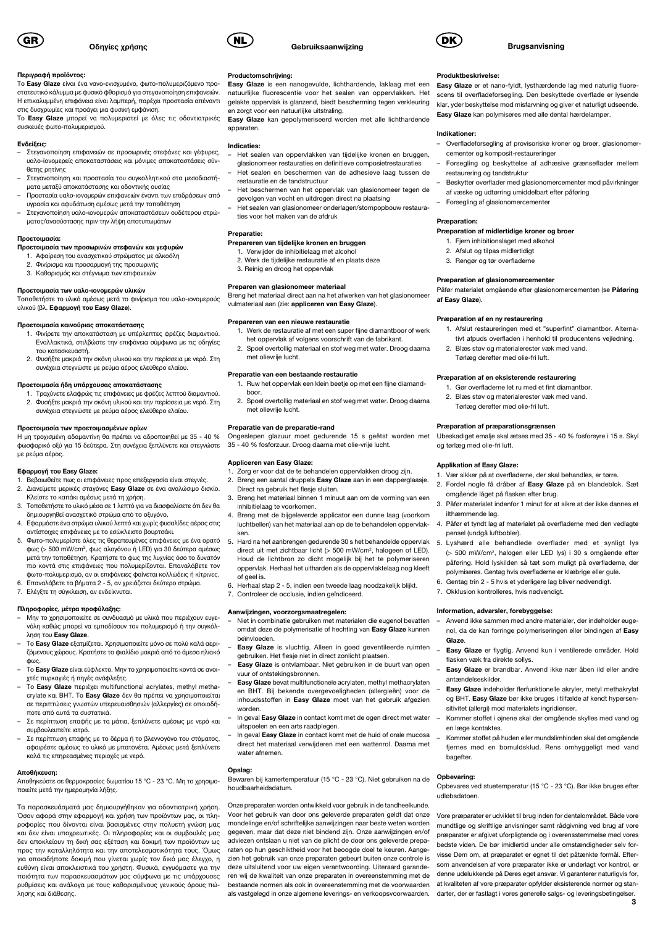

### Περιγραφή προϊόντος:

Το Easy Glaze είναι ένα νανο-ενισχυμένο, φωτο-πολυμεριζόμενο προστατευτικό κάλυμμα με φυσικό φθορισμό για στεγανοποίηση επιφανειών. Η επικαλυμμένη επιφάνεια είναι λαμπερή, παρέχει προστασία απέναντι στις δυσχρωμίες και προάγει μια φυσική εμφάνιση.

Το Easy Glaze μπορεί να πολυμεριστεί με όλες τις οδοντιατρικές συσκευές φωτο-πολυμερισμού.

#### Ενδείξεις:

- Στεγανοποίηση επιφανειών σε προσωρινές στεφάνες και γέφυρες, υαλο-ϊονομερείς αποκαταστάσεις και μόνιμες αποκαταστάσεις σύνθετης ρητίνης – Στεγανοποίηση και προστασία του συγκολλητικού στα μεσοδιαστή-
- ματα μεταξύ αποκατάστασης και οδοντικής ουσίας – Προστασία υαλο-ιονομερών επιφανειών έναντι των επιδράσεων από
- υγρασία και αφυδάτωση αμέσως μετά την τοποθέτηση – Στεγανοποίηση υαλο-ιονομερών αποκαταστάσεων ουδέτερου στρώ-
- ματος/ανασύστασης πριν την λήψη αποτυπωμάτων

#### Προετοιμασία:

- Προετοιμασία των προσωρινών στεφανών και γεφυρών
- 1. Αφαίρεση του ανασχετικού στρώματος με αλκοόλη
- 2. Φινίρισμα και προσαρμογή της προσωρινής 3. Καθαρισμός και στέγνωμα των επιφανειών

## Προετοιμασία των υαλο-ιονομερών υλικών

Τοποθετήστε το υλικό αμέσως μετά το φινίρισμα του υαλο-ιονομερούς υλικού (βλ. Εφαρμογή του Easy Glaze).

#### Προετοιμασία καινούριας αποκατάστασης

- 1. Φινίρετε την αποκατάσταση με υπέρλεπτες φρέζες διαμαντιού. Εναλλακτικά, στιλβώστε την επιφάνεια σύμφωνα με τις οδηγίες του κατασκευαστή.
- 2. Φυσήξτε μακριά την σκόνη υλικού και την περίσσεια με νερό. Στη συνέχεια στεγνώστε με ρεύμα αέρος ελεύθερο ελαίου.

#### Προετοιμασία ήδη υπάρχουσας αποκατάστασης

1. Τραχύνετε ελαφρώς τις επιφάνειες με φρέζες λεπτού διαμαντιού. 2. Φυσήξτε μακριά την σκόνη υλικού και την περίσσεια με νερό. Στη συνέχεια στεγνώστε με ρεύμα αέρος ελεύθερο ελαίου.

## Προετοιμασία των προετοιμασμένων ορίων

Η μη τροχισμένη αδαμαντίνη θα πρέπει να αδροποιηθεί με 35 - 40 % φωσφορικό οξύ για 15 δεύτερα. Στη συνέχεια ξεπλύνετε και στεγνώστε με ρεύμα αέρος.

## Εφαρμογή του Easy Glaze:

- 1. Βεβαιωθείτε πως οι επιφάνειες προς επεξεργασία είναι στεγνές.<br>2. Διανείμετε μερικές στανόνες Easy Glaze σε ένα αναλώσιμο δι 2. Διανείμετε μερικές σταγόνες Easy Glaze σε ένα αναλώσιμο δισκίο. Κλείστε το καπάκι αμέσως μετά τη χρήση.
- 3. Τοποθετήστε το υλικό μέσα σε 1 λεπτό για να διασφαλίσετε ότι δεν θα δημιουργηθεί ανασχετικό στρώμα από το οξυγόνο.
- 4. Εφαρμόστε ένα στρώμα υλικού λεπτό και χωρίς φυσαλίδες αέρος στις αντίστοιχες επιφάνειες με το εσώκλειστο βουρτσάκι.
- 5. Φωτο-πολυμερίστε όλες τις θεραπευμένες επιφάνειες με ένα ορατό φως (> 500 mW/cm², φως αλογόνου ή LED) για 30 δεύτερα αμέσως μετά την τοποθέτηση. Κρατήστε το φως της λυχνίας όσο το δυνατόν πιο κοντά στις επιφάνειες που πολυμερίζονται. Επαναλάβετε τον φωτο-πολυμερισμό, αν οι επιφάνειες φαίνεται κολλώδεις ή κίτρινες.
- 6. Επαναλάβετε τα βήματα 2 5, αν χρειάζεται δεύτερο στρώμα.
- 7. Ελέγξτε τη σύγκλειση, αν ενδείκνυται.

- Πληροφορίες, μέτρα προφύλαξης: Μην το χρησιμοποιείτε σε συνδυασμό με υλικά που περιέχουν ευγενόλη καθώς μπορεί να εμποδίσουν τον πολυμερισμό ή την συγκόλληση του Easy Glaze.
- Το Easy Glaze εξατμίζεται. Χρησιμοποιείτε μόνο σε πολύ καλά αεριζόμενους χώρους. Κρατήστε το φιαλίδιο μακριά από το άμεσο ηλιακό φως.
- Το Easy Glaze είναι εύφλεκτο. Μην το χρησιμοποιείτε κοντά σε ανοιχτές πυρκαγιές ή πηγές ανάφλεξης.
- Το Easy Glaze περιέχει multifunctional acrylates, methyl methacrylate και BHT. Το Easy Glaze δεν θα πρέπει να χρησιμοποιείται σε περιπτώσεις γνωστών υπερευαισθησιών (αλλεργίες) σε οποιοδήποτε από αυτά τα συστατικά.
- Σε περίπτωση επαφής με τα μάτια, ξεπλύνετε αμέσως με νερό και συμβουλευτείτε ιατρό.
- Σε περίπτωση επαφής με το δέρμα ή το βλεννογόνο του στόματος, αφαιρέστε αμέσως το υλικό με μπατονέτα. Αμέσως μετά ξεπλύνετε καλά τις επηρεασμένες περιοχές με νερό.

#### Αποθήκευση:

Αποθηκεύστε σε θερμοκρασίες δωματίου 15 °C - 23 °C. Μη το χρησιμοποιείτε μετά την ημερομηνία λήξης.

Τα παρασκευάσματά μας δημιουργήθηκαν για οδοντιατρική χρήση. Όσον αφορά στην εφαρμογή και χρήση των προϊόντων μας, οι πληροφορίες που δίνονται είναι βασισμένες στην πολυετή γνώση μας και δεν είναι υποχρεωτικές. Οι πληροφορίες και οι συμβουλές μας δεν αποκλείουν τη δική σας εξέταση και δοκιμή των προϊόντων ως προς την καταλληλότητα και την αποτελεσματικότητά τους. Όμως για οποιαδήποτε δοκιμή που γίνεται χωρίς τον δικό μας έλεγχο, η ευθύνη είναι αποκλειστικά του χρήστη. Φυσικά, εγγυόμαστε για την ποιότητα των παρασκευασμάτων μας σύμφωνα με τις υπάρχουσες ρυθμίσεις και ανάλογα με τους καθορισμένους γενικούς όρους πώλησης και διάθεσης.



## Productomschrijving:

Easy Glaze is een nanogevulde, lichthardende, laklaag met een natuurlijke fluorescentie voor het sealen van oppervlakken. Het gelakte oppervlak is glanzend, biedt bescherming tegen verkleuring en zorgt voor een natuurlijke uitstraling.

Easy Glaze kan gepolymeriseerd worden met alle lichthardende apparaten.

#### Indicaties:

- Het sealen van oppervlakken van tijdelijke kronen en bruggen, glasionomeer restauraties en definitieve composietrestauraties – Het sealen en beschermen van de adhesieve laag tussen de
- restauratie en de tandstructuur
- Het beschermen van het oppervlak van glasionomeer tegen de gevolgen van vocht en uitdrogen direct na plaatsing
- Het sealen van glasionomeer onderlagen/stompopbouw restauraties voor het maken van de afdruk

## Preparatie:

- Prepareren van tijdelijke kronen en bruggen 1. Verwijder de inhibitielaag met alcohol
	- 2. Werk de tijdelijke restauratie af en plaats deze
	- 3. Reinig en droog het oppervlak

## Preparen van glasionomeer materiaal

Breng het materiaal direct aan na het afwerken van het glasionomeer vulmateriaal aan (zie: appliceren van Easy Glaze).

#### Prepareren van een nieuwe restauratie

- 1. Werk de restauratie af met een super fijne diamantboor of werk het oppervlak af volgens voorschrift van de fabrikant.
- 2. Spoel overtollig materiaal en stof weg met water. Droog daarna met olievrije lucht.

#### Preparatie van een bestaande restauratie

- 1. Ruw het oppervlak een klein beetje op met een fijne diamandboor.
- 2. Spoel overtollig materiaal en stof weg met water. Droog daarna met olievrije lucht.

#### Preparatie van de preparatie-rand

Ongeslepen glazuur moet gedurende 15 s geëtst worden met 35 - 40 % fosforzuur. Droog daarna met olie-vrije lucht.

## Appliceren van Easy Glaze:

- Zorg er voor dat de te behandelen oppervlakken droog zijn. 2. Breng een aantal druppels Easy Glaze aan in een dapperglaasje.
- Direct na gebruik het flesje sluiten. 3. Breng het materiaal binnen 1 minuut aan om de vorming van een inhibitielaag te voorkomen.
- 4. Breng met de bijgeleverde applicator een dunne laag (voorkom luchtbellen) van het materiaal aan op de te behandelen oppervlakken.
- 5. Hard na het aanbrengen gedurende 30 s het behandelde oppervlak direct uit met zichtbaar licht (> 500 mW/cm2, halogeen of LED). Houd de lichtbron zo dicht mogelijk bij het te polymeriseren oppervlak. Herhaal het uitharden als de oppervlaktelaag nog kleeft of geel is.
- 6. Herhaal stap 2 5, indien een tweede laag noodzakelijk blijkt. 7. Controleer de occlusie, indien geïndiceerd.

#### Aanwijzingen, voorzorgsmaatregelen:

- Niet in combinatie gebruiken met materialen die eugenol bevatten omdat deze de polymerisatie of hechting van Easy Glaze kunnen beïnvloeden.
- Easy Glaze is vluchtig. Alleen in goed geventileerde ruimten gebruiken. Het flesje niet in direct zonlicht plaatsen.
- Easy Glaze is ontvlambaar. Niet gebruiken in de buurt van open vuur of ontstekingsbronnen.
- Easy Glaze bevat multifunctionele acrylaten, methyl methacrylaten en BHT. Bij bekende overgevoeligheden (allergieën) voor de inhoudsstoffen in Easy Glaze moet van het gebruik afgezien worden
- In geval Easy Glaze in contact komt met de ogen direct met water uitspoelen en een arts raadplegen.
- In geval Easy Glaze in contact komt met de huid of orale mucosa direct het materiaal verwijderen met een wattenrol. Daarna met water afnemen.

## Opslag:

Bewaren bij kamertemperatuur (15 °C - 23 °C). Niet gebruiken na de houdbaarheidsdatum.

Onze preparaten worden ontwikkeld voor gebruik in de tandheelkunde. Voor het gebruik van door ons geleverde preparaten geldt dat onze mondelinge en/of schriftelijke aanwijzingen naar beste weten worden gegeven, maar dat deze niet bindend zijn. Onze aanwijzingen en/of adviezen ontslaan u niet van de plicht de door ons geleverde preparaten op hun geschiktheid voor het beoogde doel te keuren. Aangezien het gebruik van onze preparaten gebeurt buiten onze controle is deze uitsluitend voor uw eigen verantwoording. Uiteraard garanderen wij de kwaliteit van onze preparaten in overeenstemming met de bestaande normen als ook in overeenstemming met de voorwaarden als vastgelegd in onze algemene leverings- en verkoopsvoorwaarden.

#### Produktbeskrivelse:

Easy Glaze er et nano-fyldt, lysthærdende lag med naturlig fluorescens til overfladeforsegling. Den beskyttede overflade er lysende klar, yder beskyttelse mod misfarvning og giver et naturligt udseende. Easy Glaze kan polymiseres med alle dental hærdelamper.

Brugsanvisning

#### Indikationer:

- Overfladeforsegling af provisoriske kroner og broer, glasionomercementer og komposit-restaureringer
- Forsegling og beskyttelse af adhæsive grænseflader mellem restaurering og tandstruktur
- Beskytter overflader med glasionomercementer mod påvirkninger af væske og udtørring umiddelbart efter påføring
- Forsegling af glasionomercementer

### Præparation:

#### Præparation af midlertidige kroner og broer

- 1. Fjern inhibitionslaget med alkohol
- 2. Afslut og tilpas midlertidigt
- 3. Rengør og tør overfladerne

## Præparation af glasionomercementer

Påfør materialet omgående efter glasionomercementen (se Påføring af Easy Glaze).

#### Præparation af en ny restaurering

1. Afslut restaureringen med et "superfint" diamantbor. Alternativt afpuds overfladen i henhold til producentens vejledning.

Ubeskadiget emalje skal ætses med 35 - 40 % fosforsyre i 15 s. Skyl

3. Påfør materialet indenfor 1 minut for at sikre at der ikke dannes et

4. Påfør et tyndt lag af materialet på overfladerne med den vedlagte

5. Lyshærd alle behandlede overflader med et synligt lys (> 500 mW/cm2, halogen eller LED lys) i 30 s omgående efter påføring. Hold lyskilden så tæt som muligt på overfladerne, der polymiseres. Gentag hvis overfladerne er klæbrige eller gule. 6. Gentag trin 2 - 5 hvis et yderligere lag bliver nødvendigt.

– Anvend ikke sammen med andre materialer, der indeholder eugenol, da de kan forringe polymeriseringen eller bindingen af Easy

– Easy Glaze er flygtig. Anvend kun i ventilerede områder. Hold

– Easy Glaze er brandbar. Anvend ikke nær åben ild eller andre

– Easy Glaze indeholder flerfunktionelle akryler, metyl methakrylat og BHT. Easy Glaze bør ikke bruges i tilfælde af kendt hypersen-

– Kommer stoffet i øjnene skal der omgående skylles med vand og

– Kommer stoffet på huden eller mundslimhinden skal det omgående fjernes med en bomuldsklud. Rens omhyggeligt med vand

Opbevares ved stuetemperatur (15 °C - 23 °C). Bør ikke bruges efter

Vore præparater er udviklet til brug inden for dentalområdet. Både vore mundtlige og skriftlige anvisninger samt rådgivning ved brug af vore præparater er afgivet uforpligtende og i overensstemmelse med vores bedste viden. De bør imidlertid under alle omstændigheder selv forvisse Dem om, at præparatet er egnet til det påtænkte formål. Eftersom anvendelsen af vore præparater ikke er underlagt vor kontrol, er denne udelukkende på Deres eget ansvar. Vi garanterer naturligvis for, at kvaliteten af vore præparater opfylder eksisterende normer og stan-

1. Vær sikker på at overfladerne, der skal behandles, er tørre. 2. Fordel nogle få dråber af Easy Glaze på en blandeblok. Sæt

- 2. Blæs støv og materialerester væk med vand. Tørlæg derefter med olie-fri luft.
- Præparation af en eksisterende restaurering
- 1. Gør overfladerne let ru med et fint diamantbor.
- 2. Blæs støv og materialerester væk med vand.

3 darter, der er fastlagt i vores generelle salgs- og leveringsbetingelser.

Tørlæg derefter med olie-fri luft.

Præparation af præparationsgrænsen

omgående låget på flasken efter brug.

7. Okklusion kontrolleres, hvis nødvendigt. Information, advarsler, forebyggelse:

flasken væk fra direkte sollys.

sitivitet (allergi) mod materialets ingridienser

antændelseskilder.

en læge kontaktes.

bagefter. Opbevaring:

udløbsdatoen.

og tørlæg med olie-fri luft. Applikation af Easy Glaze:

ilthæmmende lag.

Glaze.

pensel (undgå luftbobler).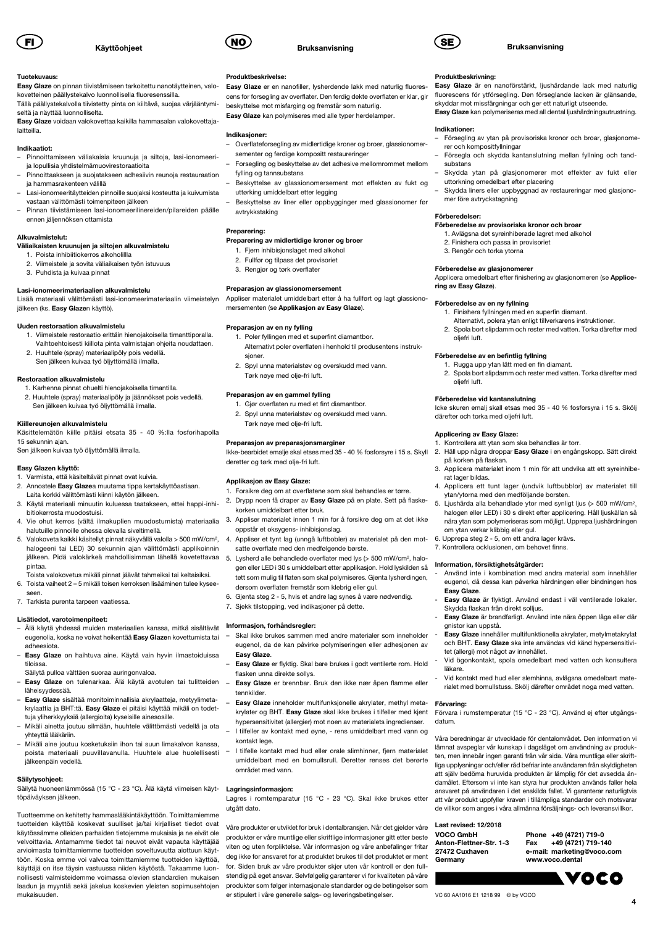

#### Tuotekuvaus:

Easy Glaze on pinnan tiivistämiseen tarkoitettu nanotäytteinen, valokovetteinen päällystekalvo luonnollisella fluoresenssilla.

Tällä päällystekalvolla tiivistetty pinta on kiiltävä, suojaa värjääntymiseltä ja näyttää luonnolliselta.

Easy Glaze voidaan valokovettaa kaikilla hammasalan valokovettajalaitteilla.

#### Indikaatiot:

- Pinnoittamiseen väliakaisia kruunuja ja siltoja, lasi-ionomeeri ja lopullisia yhdistelmämuovirestoraatioita
- Pinnoittaakseen ja suojatakseen adhesiivin reunoja restauraation ja hammasrakenteen välillä
- Lasi-ionomeeritäytteiden pinnoille suojaksi kosteutta ja kuivumista vastaan välittömästi toimenpiteen jälkeen
- Pinnan tiivistämiseen lasi-ionomeerilinereiden/pilareiden päälle ennen jäljennöksen ottamista

## Alkuvalmistelut:

## Väliaikaisten kruunujen ja siltojen alkuvalmistelu

- 1. Poista inhibiitiokerros alkoholillla
- 2. Viimeistele ja sovita väliaikaisen työn istuvuus 3. Puhdista ja kuivaa pinnat

## Lasi-ionomeerimateriaalien alkuvalmistelu

Lisää materiaali välittömästi lasi-ionomeerimateriaalin viimeistelyn jälkeen (ks. Easy Glazen käyttö).

#### Uuden restoraation alkuvalmistelu

- 1. Viimeistele restoraatio erittäin hienojakoisella timanttiporalla. Vaihtoehtoisesti kiillota pinta valmistajan ohjeita noudattaen.
- 2. Huuhtele (spray) materiaalipöly pois vedellä. Sen jälkeen kuivaa työ öljyttömällä ilmalla.

#### Restoraation alkuvalmistelu

- 1. Karhenna pinnat ohuelti hienojakoisella timantilla.
- 2. Huuhtele (spray) materiaalipöly ja jäännökset pois vedellä. Sen jälkeen kuivaa työ öljyttömällä ilmalla.

#### Kiillereunojen alkuvalmistelu

- Käsittelemätön kiille pitäisi etsata 35 40 %:lla fosforihapolla 15 sekunnin ajan.
- Sen jälkeen kuivaa työ öljyttömällä ilmalla.

## Easy Glazen käyttö:

- 1. Varmista, että käsiteltävät pinnat ovat kuivia.
- 2. Annostele Easy Glazea muutama tippa kertakäyttöastiaan. Laita korkki välittömästi kiinni käytön jälkeen.
- 3. Käytä materiaali minuutin kuluessa taatakseen, ettei happi-inhi bitiokerrosta muodostuisi.
- 4. Vie ohut kerros (vältä ilmakuplien muodostumista) materiaalia halutuille pinnoille ohessa olevalla siveltimellä.
- 5. Valokoveta kaikki käsitellyt pinnat näkyvällä valolla > 500 mW/cm2, halogeeni tai LED) 30 sekunnin ajan välittömästi applikoinnin jälkeen. Pidä valokärkeä mahdollisimman lähellä kovetettavaa 5. Lysherd alle behandlede overflater med lys (> 500 mW/cm<sup>2</sup>, halo pintaa. Toista valokovetus mikäli pinnat jäävät tahmeiksi tai keltaisiksi.
- 6. Toista vaiheet 2 5 mikäli toisen kerroksen lisääminen tulee kysee seen.
- 7. Tarkista purenta tarpeen vaatiessa.

#### Lisätiedot, varotoimenpiteet:

- Älä käytä yhdessä muiden materiaalien kanssa, mitkä sisältävät eugenolia, koska ne voivat heikentää Easy Glazen kovettumista tai adheesiota.
- Easy Glaze on haihtuva aine. Käytä vain hyvin ilmastoiduissa tiloissa. Säilytä pulloa välttäen suoraa auringonvaloa.
- Easy Glaze on tulenarkaa. Älä käytä avotulen tai tulitteiden läheisyydessää.
- Easy Glaze sisältää monitoiminnallisia akrylaatteja, metyylimetakrylaattia ja BHT:tä. Easy Glaze ei pitäisi käyttää mikäli on todettuja yliherkkyyksiä (allergioita) kyseisille ainesosille.
- Mikäli ainetta joutuu silmään, huuhtele välittömästi vedellä ja ota yhteyttä lääkäriin.
- Mikäli aine joutuu kosketuksiin ihon tai suun limakalvon kanssa, poista materiaali puuvillavanulla. Huuhtele alue huolellisesti jälkeenpäin vedellä.

#### Säilytysohjeet:

Säilytä huoneenlämmössä (15 °C - 23 °C). Älä käytä viimeisen käyt-Lagringsinformasjon: töpäiväyksen jälkeen.

Tuotteemme on kehitetty hammaslääkintäkäyttöön. Toimittamiemme tuotteiden käyttöä koskevat suulliset ja/tai kirjalliset tiedot ovat käytössämme olleiden parhaiden tietojemme mukaisia ja ne eivät ole velvoittavia. Antamamme tiedot tai neuvot eivät vapauta käyttäjää arvioimasta toimittamiemme tuotteiden soveltuvuutta aiottuun käyttöön. Koska emme voi valvoa toimittamiemme tuotteiden käyttöä, käyttäjä on itse täysin vastuussa niiden käytöstä. Takaamme luonnollisesti valmisteidemme voimassa olevien standardien mukaisen laadun ja myyntiä sekä jakelua koskevien yleisten sopimusehtojen mukaisuuden.

#### Produktbeskrivelse:

Easy Glaze er en nanofiller, lysherdende lakk med naturlig fluorescens for forsegling av overflater. Den ferdig dekte overflaten er klar, gir beskyttelse mot misfarging og fremstår som naturlig. Easy Glaze kan polymiseres med alle typer herdelamper.

Bruksanvisning

#### Indikasjoner:

- Overflateforsegling av midlertidige kroner og broer, glassionomersementer og ferdige kompositt restaureringer
- Forsegling og beskyttelse av det adhesive mellomrommet mellom fylling og tannsubstans
- Beskyttelse av glassionomersement mot effekten av fukt og uttørking umiddelbart etter legging
- Beskyttelse av liner eller oppbygginger med glassionomer før avtrykkstaking

#### Preparering:

## Preparering av midlertidige kroner og broer

- 1. Fjern inhibisjonslaget med alkohol
- 2. Fullfør og tilpass det provisoriet 3. Rengjør og tørk overflater

Preparasjon av glassionomersement Appliser materialet umiddelbart etter å ha fullført og lagt glassionomersementen (se Applikasjon av Easy Glaze).

#### Preparasjon av en ny fylling

- 1. Poler fyllingen med et superfint diamantbor. Alternativt poler overflaten i henhold til produsentens instruksioner.
- 2. Spyl unna materialstøv og overskudd med vann. Tørk nøye med olje-fri luft.

## Preparasjon av en gammel fylling

- 1. Gjør overflaten ru med et fint diamantbor.
- 2. Spyl unna materialstøv og overskudd med vann. Tørk nøve med olie-fri luft.

#### Preparasjon av preparasjonsmarginer

Ikke-bearbidet emalje skal etses med 35 - 40 % fosforsyre i 15 s. Skyll deretter og tørk med olje-fri luft.

### Applikasjon av Easy Glaze:

- 1. Forsikre deg om at overflatene som skal behandles er tørre.
- 2. Drypp noen få draper av Easy Glaze på en plate. Sett på flaskekorken umiddelbart etter bruk.
- 3. Appliser materialet innen 1 min for å forsikre deg om at det ikke oppstår et oksygens- inhibisjonslag.
- 4. Appliser et tynt lag (unngå luftbobler) av materialet på den motsatte overflate med den medfølgende børste.
- gen eller LED i 30 s umiddelbart etter applikasjon. Hold lyskilden så tett som mulig til flaten som skal polymiseres. Gjenta lysherdingen, dersom overflaten fremstår som klebrig eller gul.
- 6. Gjenta steg 2 5, hvis et andre lag synes å være nødvendig.
- 7. Sjekk tilstopping, ved indikasjoner på dette.

#### Informasjon, forhåndsregler:

- Skal ikke brukes sammen med andre materialer som inneholder eugenol, da de kan påvirke polymiseringen eller adhesjonen av Easy Glaze.
- Easy Glaze er flyktig. Skal bare brukes i godt ventilerte rom. Hold flasken unna direkte sollys.
- Easy Glaze er brennbar. Bruk den ikke nær åpen flamme eller tennkilder.
- Easy Glaze inneholder multifunksjonelle akrylater, methyl metakrylater og BHT. Easy Glaze skal ikke brukes i tilfeller med kjent hypersensitivitet (allergier) mot noen av materialets ingredienser. – I tilfeller av kontakt med øyne, - rens umiddelbart med vann og
- kontakt lege.
- I tilfelle kontakt med hud eller orale slimhinner, fjern materialet umiddelbart med en bomullsrull. Deretter renses det berørte området med vann.

Lagres i romtemparatur (15 °C - 23 °C). Skal ikke brukes etter utgått dato.

Våre produkter er utviklet for bruk i dentalbransjen. Når det gjelder våre produkter er våre muntlige eller skriftlige informasjoner gitt etter beste viten og uten forpliktelse. Vår informasjon og våre anbefalinger fritar deg ikke for ansvaret for at produktet brukes til det produktet er ment for. Siden bruk av våre produkter skjer uten vår kontroll er den fullstendig på eget ansvar. Selvfølgelig garanterer vi for kvaliteten på våre produkter som følger internasjonale standarder og de betingelser som er stipulert i våre generelle salgs- og leveringsbetingelser.

#### Produktbeskrivning:

Easy Glaze är en nanoförstärkt, ljushärdande lack med naturlig fluorescens för ytförsegling. Den förseglande lacken är glänsande, skyddar mot missfärgningar och ger ett naturligt utseende. Easy Glaze kan polymeriseras med all dental ljushärdningsutrustning.

Bruksanvisning

#### Indikationer:

SE

- Försegling av ytan på provisoriska kronor och broar, glasjonome-
- rer och kompositfyllningar Försegla och skydda kantanslutning mellan fyllning och tandsubstans
- Skydda ytan på glasjonomerer mot effekter av fukt eller uttorkning omedelbart efter placering
- Skydda liners eller uppbyggnad av restaureringar med glasjonomer före avtryckstagning

## Förberedelser:

#### Förberedelse av provisoriska kronor och broar

- 1. Avlägsna det syreinhiberade lagret med alkohol
- 2. Finishera och passa in provisoriet 3. Rengör och torka ytorna
- 
- Förberedelse av glasjonomerer Applicera omedelbart efter finishering av glasjonomeren (se Applice-

ring av Easy Glaze).

#### Förberedelse av en ny fyllning

oljefri luft.

Förberedelse av en befintlig fyllning 1. Rugga upp ytan lätt med en fin diamant.

Förberedelse vid kantanslutning

därefter och torka med oljefri luft. Applicering av Easy Glaze:

på korken på flaskan.

rat lager bildas.

Easy Glaze.

läkare.

Förvaring:

datum.

gnistor kan uppstå.

1. Kontrollera att ytan som ska behandlas är torr.<br>2. Häll upp några droppar **Fasy Glaze** i en engån

ytan/ytorna med den medföljande borsten.

om ytan verkar klibbig eller gul. 6. Upprepa steg 2 - 5, om ett andra lager krävs. 7. Kontrollera ocklusionen, om behovet finns. Information, försiktighetsåtgärder:

Skydda flaskan från direkt solljus.

tet (allergi) mot något av innehållet.

VC 60 AA1016 E1 1218 99 © by VOCO

VOCO GmbH Anton-Flettner-Str. 1-3 27472 Cuxhaven Germany

Last revised: 12/2018

- 1. Finishera fyllningen med en superfin diamant. Alternativt, polera ytan enligt tillverkarens instruktioner.
- 2. Spola bort slipdamm och rester med vatten. Torka därefter med oljefri luft.

2. Spola bort slipdamm och rester med vatten. Torka därefter med

Icke skuren emalj skall etsas med 35 - 40 % fosforsyra i 15 s. Skölj

2. Häll upp några droppar Easy Glaze i en engångskopp. Sätt direkt

3. Applicera materialet inom 1 min för att undvika att ett syreinhibe-

4. Applicera ett tunt lager (undvik luftbubblor) av materialet till

5. Ljushärda alla behandlade ytor med synligt ljus (> 500 mW/cm2, halogen eller LED) i 30 s direkt efter applicering. Håll ljuskällan så nära ytan som polymeriseras som möjligt. Upprepa ljushärdningen

- Använd inte i kombination med andra material som innehåller eugenol, då dessa kan påverka härdningen eller bindningen hos

Easy Glaze är flyktigt. Använd endast i väl ventilerade lokaler.

Easy Glaze är brandfarligt. Använd inte nära öppen låga eller där

- Easy Glaze innehåller multifunktionella akrylater, metylmetakrylat och BHT. Easy Glaze ska inte användas vid känd hypersensitivi-

- Vid ögonkontakt, spola omedelbart med vatten och konsultera

- Vid kontakt med hud eller slemhinna, avlägsna omedelbart materialet med bomullstuss. Skölj därefter området noga med vatten.

Förvara i rumstemperatur (15 °C - 23 °C). Använd ej efter utgångs-

Våra beredningar är utvecklade för dentalområdet. Den information vi lämnat avspeglar vår kunskap i dagsläget om användning av produkten, men innebär ingen garanti från vår sida. Våra muntliga eller skriftliga upplysningar och/eller råd befriar inte användaren från skyldigheten att själv bedöma huruvida produkten är lämplig för det avsedda ändamålet. Eftersom vi inte kan styra hur produkten används faller hela ansvaret på användaren i det enskilda fallet. Vi garanterar naturligtvis att vår produkt uppfyller kraven i tillämpliga standarder och motsvarar de villkor som anges i våra allmänna försäljnings- och leveransvillkor.

4

Phone +49 (4721) 719-0 Fax +49 (4721) 719-140 e-mail: marketing@voco.com www.voco.dental

**VOCO**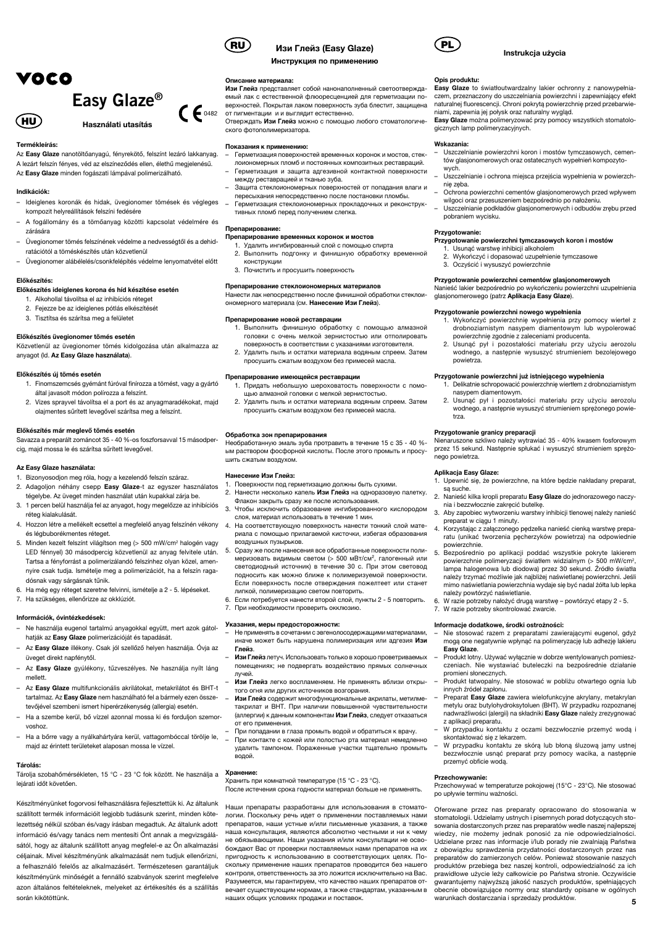

Termékleírás:

Az Easy Glaze nanotöltőanyagú, fényrekötő, felszínt lezáró lakkanyag. A lezárt felszín fényes, véd az elszíneződés ellen, élethű megjelenésű. Az Easy Glaze minden fogászati lámpával polimerizálható.

## Indikációk:

- Ideiglenes koronák és hidak, üvegionomer tömések és végleges kompozit helyreállítások felszíni fedésére
- A fogállomány és a tömőanyag közötti kapcsolat védelmére és zárására
- Üvegionomer tömés felszínének védelme a nedvességtől és a dehid ratációtól a töméskészítés után közvetlenül
- Üvegionomer alábélelés/csonkfelépítés védelme lenyomatvétel előtt

## Előkészítés:

## Előkészítés ideiglenes korona és híd készítése esetén

- 1. Alkohollal távolítsa el az inhibíciós réteget 2. Fejezze be az ideiglenes pótlás elkészítését
- 3. Tisztítsa és szárítsa meg a felületet
- 

## Előkészítés üvegionomer tömés esetén

Közvetlenül az üvegionomer tömés kidolgozása után alkalmazza az anyagot (ld. Az Easy Glaze használata).

#### Előkészítés új tömés esetén

- 1. Finomszemcsés gyémánt fúróval finírozza a tömést, vagy a gyártó által javasolt módon polírozza a felszínt.
- 2. Vizes sprayvel távolítsa el a port és az anyagmaradékokat, majd olajmentes sűrített levegővel szárítsa meg a felszínt.

#### Előkészítés már meglevő tömés esetén

Savazza a preparált zománcot 35 - 40 %-os foszforsavval 15 másodpercig, majd mossa le és szárítsa sűrített levegővel.

#### Az Easy Glaze használata:

- 1. Bizonyosodjon meg róla, hogy a kezelendő felszín száraz.
- 2. Adagoljon néhány csepp Easy Glaze-t az egyszer használatos tégelybe. Az üveget minden használat után kupakkal zárja be.
- 3. 1 percen belül használja fel az anyagot, hogy megelőzze az inhibíciós réteg kialakulását.
- 4. Hozzon létre a mellékelt ecsettel a megfelelő anyag felszínén vékony és légbuborékmentes réteget.
- 5. Minden kezelt felszínt világítson meg (> 500 mW/cm2 halogén vagy LED fénnyel) 30 másodpercig közvetlenül az anyag felvitele után. Tartsa a fényforrást a polimerizálandó felszínhez olyan közel, amennyire csak tudja. Ismételje meg a polimerizációt, ha a felszín ragadósnak vagy sárgásnak tűnik.
- 6. Ha még egy réteget szeretne felvinni, ismételje a 2 5. lépéseket.
- 7. Ha szükséges, ellenőrizze az okklúziót.

## Információk, óvintézkedések:

- Ne használja eugenol tartalmú anyagokkal együtt, mert azok gátolhatiák az Easy Glaze polimerizációját és tapadását.
- Az Easy Glaze illékony. Csak jól szellőző helyen használja. Óvja az üveget direkt napfénytől.
- Az Easy Glaze gyúlékony, tűzveszélyes. Ne használja nyílt láng mellett.
- Az Easy Glaze multifunkcionális akrilátokat, metakrilátot és BHT-t tartalmaz. Az Easy Glaze nem használható fel a bármely ezen öss tevőjével szembeni ismert hiperérzékenység (allergia) esetén.
- Ha a szembe kerül, bő vízzel azonnal mossa ki és forduljon szemorvoshoz.
- Ha a bőrre vagy a nyálkahártyára kerül, vattagombóccal törölje le, majd az érintett területeket alaposan mossa le vízzel.

#### Tárolás:

Tárolja szobahőmérsékleten, 15 °C - 23 °C fok között. Ne használja a **Хранение**: lejárati időt követően.

Készítményünket fogorvosi felhasználásra fejlesztettük ki. Az általunk szállított termék információit legjobb tudásunk szerint, minden kötelezettség nélkül szóban és/vagy írásban megadtuk. Az általunk adott információ és/vagy tanács nem mentesíti Önt annak a megvizsgálásától, hogy az általunk szállított anyag megfelel-e az Ön alkalmazási céljainak. Mivel készítményünk alkalmazását nem tudjuk ellenőrizni, a felhasználó felelős az alkalmazásért. Természetesen garantáljuk készítményünk minőségét a fennálló szabványok szerint megfelelve azon általános feltételeknek, melyeket az értékesítés és a szállítás során kikötöttünk.



 $\epsilon$  6482

## RU) Изи Глейз (Easy Glaze) (PL

Инструкция по применению

#### Описание материала:

Изи Глейз представляет собой нанонаполненный светоотверждаемый лак с естественной флюоресценцией для герметизации поверхностей. Покрытая лаком поверхность зуба блестит, защищения от пигментации и и выглядит естественно.

Отверждать Изи Глейз можно с помощью любого стоматологического фотополимеризатора.

#### Показания к применению:

- Герметизация поверхностей временных коронок и мостов, стеклоиономерных пломб и постоянных композитных реставраций.
- Герметизация и защита адгезивной контактной поверхности
- между реставрацией и тканью зуба. – Защита стеклоиономерных поверхностей от попадания влаги и
- пересыхания непосредственно после постановки пломбы. – Герметизация стеклоиономерных прокладочных и реконструк-
- тивных пломб перед получением слепка.

## Препарирование:

- Препарирование временных коронок и мостов
	- 1. Удалить ингибированный слой с помощью спирта<br>2. Выполнить подгонку и финишную обработку в 2. Выполнить подгонку и финишную обработку временной
	- конструкции
	- 3. Почистить и просушить поверхность

Препарирование стеклоиономерных материалов Нанести лак непосредственно после финишной обработки стеклоиономерного материала (см. Нанесение Изи Глейз).

#### Препарирование новой реставрации

- 1. Выполнить финишную обработку с помощью алмазной головки с очень мелкой зернистостью или отполировать поверхность в соответствии с указаниями изготовителя.
- 2. Удалить пыль и остатки материала водяным спреем. Затем просушить сжатым воздухом без примесей масла.

#### Препарирование имеющейся реставрации

- 1. Придать небольшую шероховатость поверхности с помощью алмазной головки с мелкой зернистостью.
- 2. Удалить пыль и остатки материала водяным спреем. Затем просушить сжатым воздухом без примесей масла.

#### Обработка зон препарирования

Необработанную эмаль зуба протравить в течение 15 с 35 - 40 % ым раствором фосфорной кислоты. После этого промыть и просушить сжатым воздухом.

## Нанесение Изи Глейз:

- 1. Поверхности под герметизацию должны быть сухими.
- 2. Нанести несколько капель Изи Глейз на одноразовую палетку. Флакон закрыть сразу же после использования.
- 3. Чтобы исключить образование ингибированного кислородом слоя, материал использовать в течение 1 мин.
- 4. На соответствующую поверхность нанести тонкий слой материала с помощью прилагаемой кисточки, избегая образования воздушных пузырьков.
- 5. Сразу же после нанесения все обработанные поверхности полимеризовать видимым светом (> 500 мВт/см², галогенный или светодиодный источник) в течение 30 с. При этом световод подносить как можно ближе к полимеризуемой поверхности. Если поверхность после отверждения пожелтеет или станет липкой, полимеризацию светом повторить.
- 6. Если потребуется нанести второй слой, пункты 2 5 повторить.
- 7. При необходимости проверить окклюзию.

#### Указания, меры предосторожности:

- Не применять в сочетании c эвгенолосодержащими материалами, иначе может быть нарушена полимеризация или адгезия Изи Глейз.
- Изи Глейз летуч. Использовать только в хорошо проветриваемых помещениях; не подвергать воздействию прямых солнечных лучей.
- Изи Глейз легко воспламеняем. Не применять вблизи открытого огня или других источников возгорания.
- Изи Глейз содержит многофункциональные акрилаты, метилметакрилат и ВНТ. При наличии повышенной чувствительности (аллергии) к данным компонентам Изи Глейз, следует отказаться от его применения.
- При попадании в глаза промыть водой и обратиться к врачу. – При контакте с кожей или полостью рта материал немедленно удалить тампоном. Пораженные участки тщательно промыть водой.

Хранить при комнатной температуре (15 °С - 23 °С). После истечения срока годности материал больше не применять.

Наши препараты разработаны для использования в стоматологии. Поскольку речь идет о применении поставляемых нами препаратов, наши устные и/или письменные указания, а также наша консультация, являются абсолютно честными и ни к чему не обязывающими. Наши указания и/или консультации не освобождают Вас от проверки поставляемых нами препаратов на их пригодность к использованию в соответствующих целях. Поскольку применение наших препаратов проводится без нашего контроля, ответственность за это ложится исключительно на Вас. Разумеется, мы гарантируем, что качество наших препаратов отвечает существующим нормам, а также стандартам, указанным в наших общих условиях продажи и поставок.



## Instrukcja użycia

#### Opis produktu:

Easy Glaze to światłoutwardzalny lakier ochronny z nanowypełniaczem, przeznaczony do uszczelniania powierzchni i zapewniający efekt naturalnej fluorescencji. Chroni pokrytą powierzchnię przed przebarwieniami, zapewnia jej połysk oraz naturalny wygląd.<br>**Easy Glaze** można polimeryzować przy pomocy wszystkich stomatolo-

gicznych lamp polimeryzacyjnych.

#### Wskazania:

- Uszczelnianie powierzchni koron i mostów tymczasowych, cementów glasjonomerowych oraz ostatecznych wypełnień kompozyto-
- wych. Uszczelnianie i ochrona miejsca przejścia wypełnienia w powierzchnię zęba.
- Ochrona powierzchni cementów glasjonomerowych przed wpływem wilgoci oraz przesuszeniem bezpośrednio po nałożeniu. – Uszczelnianie podkładów glasjonomerowych i odbudów zrębu przed

#### Przygotowanie:

pobraniem wycisku.

Przygotowanie powierzchni tymczasowych koron i mostów

- 1. Usunąć warstwę inhibicji alkoholem 2. Wykończyć i dopasować uzupełnienie tymczasowe
- 3. Oczyścić i wysuszyć powierzchnie

## Przygotowanie powierzchni cementów glasjonomerowych

Przygotowanie powierzchni już istniejącego wypełnienia

nasypem diamentowym.

nia i bezzwłocznie zakręcić butelk

preparat w ciągu 1 minuty.

należy powtórzyć naświetlanie.

7. W razie potrzeby skontrolować zwarcie. Informacje dodatkowe, środki ostrożności:

trza.

.<br>nego powietrza. Aplikacja Easy Glaze:

są suche.

powierzchnie.

Easy Glaze.

promieni słonecznych.

innych źródeł zapłonu.

z aplikacji preparatu.

przemyć obficie wodą. Przechowywanie:

skontaktować się z lekarzem.

warunkach dostarczania i sprzedaży produktów.

Nanieść lakier bezpośrednio po wykończeniu powierzchni uzupełnienia glasjonomerowego (patrz Aplikacja Easy Glaze).

#### Przygotowanie powierzchni nowego wypełnienia

- 1. Wykończyć powierzchnię wypełnienia przy pomocy wierteł z drobnoziarnistym nasypem diamentowym lub wypolerować powierzchnię zgodnie z zaleceniami producenta.
- 2. Usunąć pył i pozostałości materiału przy użyciu aerozolu wodnego, a następnie wysuszyć strumieniem bezolejowego powietrza.

1. Delikatnie schropowacić powierzchnię wiertłem z drobnoziarnistym

2. Usunąć pył i pozostałości materiału przy użyciu aerozolu wodnego, a następnie wysuszyć strumieniem sprężonego powie-

**Przygotowanie granicy preparacji**<br>Nienaruszone szkliwo należy wytrawiać 35 - 40% kwasem fosforowym przez 15 sekund. Następnie spłukać i wysuszyć strumieniem sprężo-

1. Upewnić się, że powierzchne, na które będzie nakładany preparat,

2. Nanieść kilka kropli preparatu Easy Glaze do jednorazowego naczy-

3. Aby zapobiec wytworzeniu warstwy inhibicji tlenowej należy nanieść

4. Korzystając z załączonego pędzelka nanieść cienką warstwę preparatu (unikać tworzenia pęcherzyków powietrza) na odpowiednie

5. Bezpośrednio po aplikacji poddać wszystkie pokryte lakierem powierzchnie polimeryzacji światłem widzialnym (> 500 mW/cm2, lampa halogenowa lub diodowa) przez 30 sekund. Źródło światła należy trzymać możliwie jak najbliżej naświetlanej powierzchni. Jeśli mimo naświetlania powierzchnia wydaje się być nadal żółta lub lepka

6. W razie potrzeby nałożyć drugą warstwę – powtórzyć etapy 2 - 5.

– Nie stosować razem z preparatami zawierającymi eugenol, gdyż mogą one negatywnie wpłynąć na polimeryzację lub adhezję lakieru

– Produkt lotny. Używać wyłącznie w dobrze wentylowanych pomieszczeniach. Nie wystawiać buteleczki na bezpośrednie działanie

– Produkt łatwopalny. Nie stosować w pobliżu otwartego ognia lub

Preparat Easy Glaze zawiera wielofunkcyjne akrylany, metakrylan metylu oraz butylohydroksytoluen (BHT). W przypadku rozpoznanej nadwrażliwości (alergii) na składniki Easy Glaze należy zrezygnować

– W przypadku kontaktu z oczami bezzwłocznie przemyć wodą i

– W przypadku kontaktu ze skórą lub błoną śluzową jamy ustnej bezzwłocznie usnąć preparat przy pomocy wacika, a następnie

Przechowywać w temperaturze pokojowej (15°C - 23°C). Nie stosować po upływie terminu ważności. Oferowane przez nas preparaty opracowano do stosowania w stomatologii. Udzielamy ustnych i pisemnych porad dotyczących stosowania dostarczonych przez nas preparatów wedle naszej najlepszej wiedzy, nie możemy jednak ponosić za nie odpowiedzialności. Udzielane przez nas informacje i/lub porady nie zwalniają Państwa z obowiązku sprawdzenia przydatności dostarczonych przez nas preparatów do zamierzonych celów. Ponieważ stosowanie naszych produktów przebiega bez naszej kontroli, odpowiedzialność za ich prawidłowe użycie leży całkowicie po Państwa stronie. Oczywiście gwarantujemy najwyższą jakość naszych produktów, spełniających obecnie obowiązujące normy oraz standardy opisane w ogólnych

5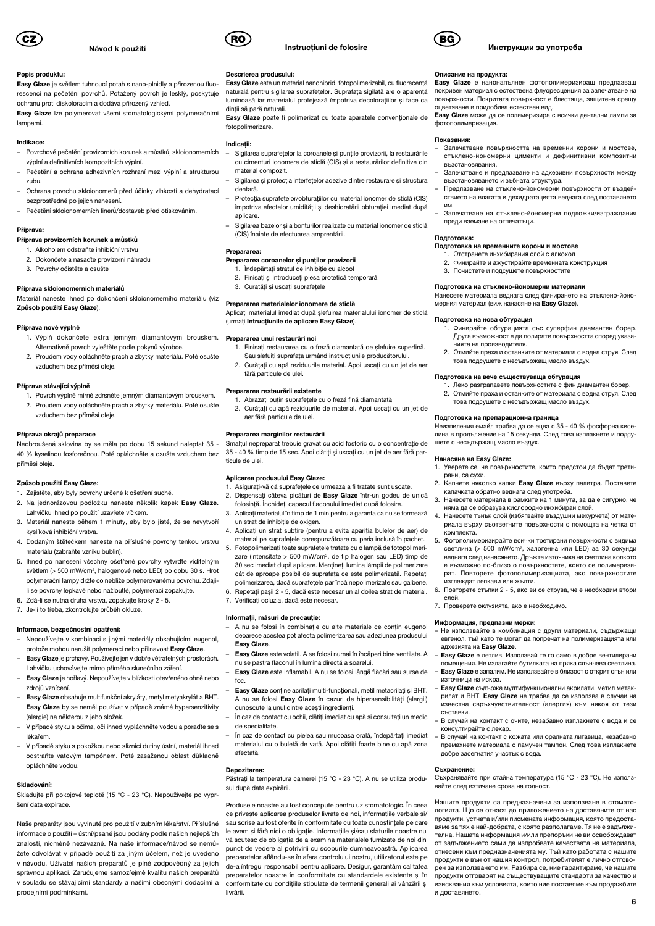

## Popis produktu:

Easy Glaze je světlem tuhnoucí potah s nano-plnidly a přirozenou fluorescencí na pečetění povrchů. Potažený povrch je lesklý, poskytuje ochranu proti diskoloracím a dodává přirozený vzhled.

Easy Glaze lze polymerovat všemi stomatologickými polymeračními lampami.

## Indikace:

- Povrchové pečetění provizorních korunek a můstků, skloionomerních výplní a definitivních kompozitních výplní.
- Pečetění a ochrana adhezivních rozhraní mezi výplní a strukturou zubu.
- Ochrana povrchu skloionomerů před účinky vlhkosti a dehydratací bezprostředně po jejich nanesení.
- Pečetění skloionomerních linerů/dostaveb před otiskováním.

## Příprava:

## Příprava provizorních korunek a můstků

- 1. Alkoholem odstraňte inhibiční vrstvu
- 2. Dokončete a nasaďte provizorní náhradu
- 3. Povrchy očistěte a osušte

#### Příprava skloionomerních materiálů

Materiál naneste ihned po dokončení skloionomerního materiálu (viz Způsob použití Easy Glaze).

#### Příprava nové výplně

- 1. Výplň dokončete extra jemným diamantovým brouskem. Alternativně povrch vyleštěte podle pokynů výrobce.
- 2. Proudem vody opláchněte prach a zbytky materiálu. Poté osušte vzduchem bez příměsi oleje.

#### Příprava stávající výplně

- 1. Povrch výplně mírně zdrsněte jemným diamantovým brouskem. 2. Proudem vody opláchněte prach a zbytky materiálu. Poté osušte
- vzduchem bez příměsi oleje.

## Příprava okrajů preparace

Neobroušená sklovina by se měla po dobu 15 sekund naleptat 35 - 40 % kyselinou fosforečnou. Poté opláchněte a osušte vzduchem bez příměsi oleje.

#### Způsob použití Easy Glaze:

- 1. Zajistěte, aby byly povrchy určené k ošetření suché.
- 2. Na jednorázovou podložku naneste několik kapek Easy Glaze Lahvičku ihned po použití uzavřete víčkem.
- 3. Materiál naneste během 1 minuty, aby bylo jisté, že se nevytvoří kyslíková inhibiční vrstva.
- 4. Dodaným štětečkem naneste na příslušné povrchy tenkou vrstvu materiálu (zabraňte vzniku bublin).
- 5. Ihned po nanesení všechny ošetřené povrchy vytvrďte viditelným světlem (> 500 mW/cm2, halogenové nebo LED) po dobu 30 s. Hrot polymerační lampy držte co neblíže polymerovanému povrchu. Zdajíli se povrchy lepkavé nebo nažloutlé, polymeraci zopakujte.
- 6. Zdá-li se nutná druhá vrstva, zopakujte kroky 2 5.
- 7. Je-li to třeba, zkontrolujte průběh okluze.

#### Informace, bezpečnostní opatření:

- Nepoužívejte v kombinaci s jinými materiály obsahujícími eugenol, protože mohou narušit polymeraci nebo přilnavost Easy Glaze.
- Easy Glaze je prchavý. Používejte jen v dobře větratelných prostorách. Lahvičku uchovávejte mimo přímého slunečního záření.
- Easy Glaze je hořlavý. Nepoužívejte v blízkosti otevřeného ohně nebo zdrojů vznícení.
- Easy Glaze obsahuje multifunkční akryláty, metyl metyakrylát a BHT. Easy Glaze by se neměl používat v případě známé hypersenzitivity (alergie) na některou z jeho složek.
- V případě styku s očima, oči ihned vypláchněte vodou a poraďte se s lékařem.
- V případě styku s pokožkou nebo sliznicí dutiny ústní, materiál ihned odstraňte vatovým tampónem. Poté zasaženou oblast důkladně opláchněte vodou.

#### Skladování:

Skladujte při pokojové teplotě (15 °C - 23 °C). Nepoužívejte po vypršení data expirace.

Naše preparáty jsou vyvinuté pro použití v zubním lékařství. Příslušné informace o použití – ústní/psané jsou podány podle našich nejlepších znalostí, nicméně nezávazně. Na naše informace/návod se nemůžete odvolávat v případě použití za jiným účelem, než je uvedeno v návodu. Uživatel našich preparátů je plně zodpovědný za jejich správnou aplikaci. Zaručujeme samozřejmě kvalitu našich preparátů v souladu se stávajícími standardy a našimi obecnými dodacími a prodejními podmínkami.



Descrierea produsului:

dinții să pară naturali.

material compozit.

(CIS) înainte de efectuarea amprentării.

Prepararea coroanelor și puntilor provizorii 1. Îndepărtați stratul de inhibiție cu alcool 2. Finisaţi şi introduceţi piesa protetică temporară

(urmaţi Intrucţiunile de aplicare Easy Glaze).

3. Curatăţi şi uscaţi suprafeţele Prepararea materialelor ionomere de sticlă

Prepararea unui restaurări noi

fără particule de ulei. Prepararea restaurării existente

aer fără particule de ulei. Prepararea marginilor restaurării

fotopolimerizare. Indicatii:

dentară.

aplicare.

Prepararea:

ticule de ulei.

#### Instrucţiuni de folosire

Easy Glaze este un material nanohibrid, fotopolimerizabil, cu fluorecentă naturală pentru sigilarea suprafeţelor. Suprafaţa sigilată are o aparenţă luminoasă iar materialul protejează împotriva decoloratiilor și face ca

Easy Glaze poate fi polimerizat cu toate aparatele conventionale de

– Sigilarea suprafeţelor la coroanele şi punţile provizorii, la restaurările cu cimenturi ionomere de sticlă (CIS) şi a restaurărilor definitive din

Sigilarea și protecția interfețelor adezive dintre restaurare și structura

Protectia suprafetelor/obturatiilor cu material ionomer de sticlă (CIS) împotriva efectelor umidității și deshidratării obturației imediat după

– Sigilarea bazelor şi a bonturilor realizate cu material ionomer de sticlă

Aplicati materialul imediat după slefuirea materialului ionomer de sticlă

1. Finisati restaurarea cu o freză diamantată de slefuire superfină. Sau slefuiti suprafața urmând instrucțiunile producătorului. 2. Curătați cu apă reziduurile material. Apoi uscați cu un jet de aer

1. Abrazati putin suprafetele cu o freză fină diamantată 2. Curătați cu apă reziduurile de material. Apoi uscați cu un jet de

Smalţul nepreparat trebuie gravat cu acid fosforic cu o concentraţie de 35 - 40 % timp de 15 sec. Apoi clătiti și uscati cu un jet de aer fără par-

1. Asiguraţi-vă că suprafeţele ce urmează a fi tratate sunt uscate. 2. Dispensați câteva picături de Easy Glaze într-un godeu de unică folosintă. Închideti capacul flaconului imediat după folosire 3. Aplicaţi materialul în timp de 1 min pentru a garanta ca nu se formează



#### Инструкции за употреба

#### Описание на продукта:

Easy Glaze е нанонапълнен фотополимеризиращ предпазващ покривен материал с естествена флуоресценция за запечатване на повърхности. Покритата повърхност е блестяща, защитена срещу .<br>оцветяване и придобива естествен вид

Easy Glaze може да се полимеризира с всички дентални лампи за фотополимеризация.

### Показания:

- Запечатване повърхността на временни корони и мостове, стъклено-йономерни цименти и дефинитивни композитни възстановявания.
- Запечатване и предпазване на адхезивни повърхности между възстановяването и зъбната структура.
- Предпазване на стъклено-йономерни повърхности от въздей ствието на влагата и дехидратацията веднага след поставянето им.
- Запечатване на стъклено-йономерни подложки/изграждания преди вземане на отпечатъци.

## Подготовка:

## Подготовка на временните корони и мостове

- 1. Отстранете инхибирания слой с алкохол 2. Финирайте и ажустирайте временната конструкция
- 3. Почистете и подсушете повърхностите

## Подготовка на стъклено-йономерни материали

Нанесете материала веднага след финирането на стъклено-йономерния материал (виж нанасяне на Easy Glaze).

#### Подготовка на нова обтурация

- 1. Финирайте обтурацията със суперфин диамантен борер. Друга възможност е да полирате повърхността според указанията на производителя.
- 2. Отмийте праха и останките от материала с водна струя. След това подсушете с несъдържащ масло въздух.

## Подготовка на вече съществуваща обтурация

- 1. Леко разграпавете повърхностите с фин диамантен борер. 2. Отмийте праха и останките от материала с водна струя. След това подсушете с несъдържащ масло въздух.
- 

## Подготовка на препарационна граница

Неизпиления емайл трябва да се ецва с 35 - 40 % фосфорна киселина в продължение на 15 секунди. След това изплакнете и подсушете с несъдържащ масло въздух.

#### Нанасяне на Easy Glazе:

- 1. Уверете се, че повърхностите, които предстои да бъдат трети рани, са сухи.
- 2. Капнете няколко капки Easy Glaze върху палитра. Поставете капачката обратно веднага след употреба.<br>3. Нанесете материала в рамките на 1 минут
- 3. Нанесете материала в рамките на 1 минута, за да е сигурно, че няма да се образува кислородно инхибиран слой.
- Нанесете тънък слой (избягвайте въздушни мехурчета) от мате риала върху съответните повърхности с помощта на четка от комплекта.
- 5. Фотополимеризирайте всички третирани повърхности с видима светлина (> 500 mW/cm2, халогенна или LED) за 30 секунди веднага след нанасянето. Дръжте източника на светлина колкото е възможно по-близо о повърхностите, които се полимеризи рат. Повторете фотополимеризацията, ако повърхностите изглеждат лепкави или жълти.
- 6. Повторете стъпки 2 5, ако ви се струва, че е необходим втори слой.
- 7. Проверете оклузията, ако е необходимо.

#### Информация, предпазни мерки:

- Не използвайте в комбинация с други материали, съдържащи евгенол, тъй като те могат да попречат на полимеризацията или адхезията на **Easy Glaze**.
- Easy Glaze е летлив. Използвай те го само в добре вентилирани помещения. Не излагайте бутилката на пряка слънчева светлина.
- Easy Glaze е запалим. Не използвайте в близост с открит огън или източници на искра.
- Easy Glaze съдържа мултифункционални акрилати, метил метакрилат и ВНТ. Easy Glaze не трябва да се използва в случаи на известна свръхчувствителност (алергия) към някоя от тези съставки.
- В случай на контакт с очите, незабавно изплакнете с вода и се консултирайте с лекар.
- В случай на контакт с кожата или оралната лигавица, незабавно премахнете материала с памучен тампон. След това изплакнете добре засегнатия участък с вода.

#### Съхранение:

Съхранявайте при стайна температура (15 °С - 23 °С). Не използвайте след изтичане срока на годност.

Нашите продукти са предназначени за използване в стоматологията. Що се отнася до приложението на доставяните от нас продукти, устната и/или писмената информация, която предоставяме за тях е най-добрата, с която разполагаме. Тя не е задължителна. Нашата информация и/или препоръки не ви освобождават от задължението сами да изпробвате качествата на материала, отнесени към предназначенията му. Тъй като работата с нашите продукти е вън от нашия контрол, потребителят е лично отговорен за използването им. Разбира се, ние гарантираме, че нашите продукти отговарят на съществуващите стандарти за качество и изисквания към условията, които ние поставяме към продажбите и доставянето.

un strat de inhibiţie de oxigen. 4. Aplicaţi un strat subţire (pentru a evita apariţia bulelor de aer) de material pe suprafeţele corespunzătoare cu peria inclusă în pachet. 5. Fotopolimerizaţi toate suprafeţele tratate cu o lampă de fotopolimeri-

Aplicarea produsului Easy Glaze:

- zare (intensitate > 500 mW/cm2, de tip halogen sau LED) timp de 30 sec imediat după aplicare. Mentineți lumina lămpii de polimerizare cât de aproape posibil de suprafaţa ce este polimerizată. Repetaţi polimerizarea, dacă suprafeţele par încă nepolimerizate sau galbene. 6. Repetati pasii 2 - 5, dacă este necesar un al doilea strat de material.
- 7. Verificati ocluzia, dacă este necesar.

#### Informații, măsuri de precauție:

- A nu se folosi în combinaţie cu alte materiale ce conţin eugenol deoarece acestea pot afecta polimerizarea sau adeziunea produsului Easy Glaze.
	- Easy Glaze este volatil. A se folosi numai în încăperi bine ventilate. A nu se pastra flaconul în lumina directă a soarelui.
- Easy Glaze este inflamabil. A nu se folosi lângă flăcări sau surse de foc.
- Easy Glaze contine acrilati multi-functionali, metil metacrilati și BHT. A nu se folosi Easy Glaze în cazuri de hipersensibilităţi (alergii) cunoscute la unul dintre acesti ingredienti.
- În caz de contact cu ochii, clătiți imediat cu apă și consultați un medic de specialitate.
- În caz de contact cu pielea sau mucoasa orală, îndepărtați imediat materialul cu o buletă de vată. Apoi clătiți foarte bine cu apă zona afectată.

## Depozitarea:

livrării.

Păstrati la temperatura camerei (15 °C - 23 °C). A nu se utiliza produsul după data expirării. Produsele noastre au fost concepute pentru uz stomatologic. În ceea

ce priveşte aplicarea produselor livrate de noi, informaţiile verbale şi/ sau scrise au fost oferite în conformitate cu toate cunostintele pe care le avem și fără nici o obligație. Informațiile si/sau sfaturile noastre nu vă scutesc de obligația de a examina materialele furnizate de noi din punct de vedere al potrivirii cu scopurile dumneavoastră. Aplicarea preparatelor aflându-se în afara controlului nostru, utilizatorul este pe de-a întregul responsabil pentru aplicare. Desigur, garantăm calitatea preparatelor noastre în conformitate cu standardele existente şi în conformitate cu condiţiile stipulate de termenii generali ai vânzării şi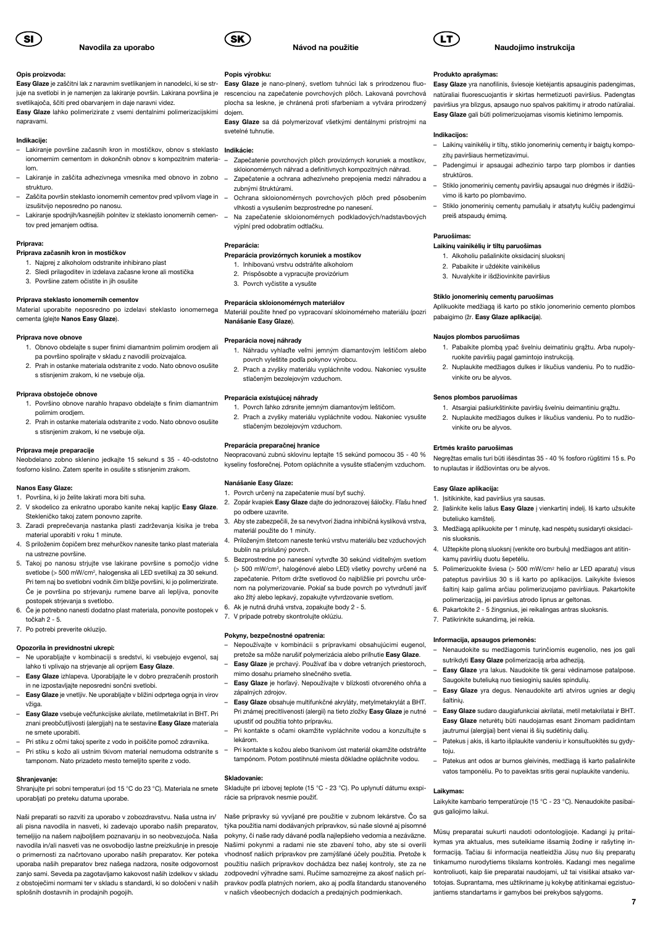

#### Opis proizvoda:

Easy Glaze je zaščitni lak z naravnim svetlikanjem in nanodelci, ki se strjuje na svetlobi in je namenjen za lakiranje površin. Lakirana površina je svetlikajoča, ščiti pred obarvanjem in daje naravni videz.

Easy Glaze lahko polimerizirate z vsemi dentalnimi polimerizacijskimi napravami.

#### Indikacije:

- Lakiranje površine začasnih kron in mostičkov, obnov s steklasto Indikácie: ionomernim cementom in dokončnih obnov s kompozitnim materialom.
- Lakiranje in zaščita adhezivnega vmesnika med obnovo in zobno strukturo.
- Zaščita površin steklasto ionomernih cementov pred vplivom vlage in izsušitvijo neposredno po nanosu.
- Lakiranje spodnjih/kasnejših polnitev iz steklasto ionomernih cementov pred jemanjem odtisa.

#### Priprava:

- Priprava začasnih kron in mostičkov
- 1. Najprej z alkoholom odstranite inhibirano plast
- 2. Sledi prilagoditev in izdelava začasne krone ali mostička 3. Površine zatem očistite in jih osušite

#### Priprava steklasto ionomernih cementov

Material uporabite neposredno po izdelavi steklasto ionomernega cementa (glejte Nanos Easy Glaze).

#### Priprava nove obnove

- 1. Obnovo obdelajte s super finimi diamantnim polirnim orodjem ali pa površino spolirajte v skladu z navodili proizvajalca.
- 2. Prah in ostanke materiala odstranite z vodo. Nato obnovo osušite s stisnjenim zrakom, ki ne vsebuje olja.

#### Priprava obstoječe obnove

- 1. Površino obnove narahlo hrapavo obdelajte s finim diamantnim polirnim orodjem.
- 2. Prah in ostanke materiala odstranite z vodo. Nato obnovo osušite s stisnjenim zrakom, ki ne vsebuje olja.

## Priprava meje preparacije

Neobdelano zobno sklenino jedkajte 15 sekund s 35 - 40-odstotno fosforno kislino. Zatem sperite in osušite s stisnjenim zrakom.

#### Nanos Easy Glaze:

- 1. Površina, ki jo želite lakirati mora biti suha.
- 2. V skodelico za enkratno uporabo kanite nekaj kapljic Easy Glaze. Stekleničko takoj zatem ponovno zaprite.
- 3. Zaradi preprečevanja nastanka plasti zadrževanja kisika je treba material uporabiti v roku 1 minute.
- 4. S priloženim čopičem brez mehurčkov nanesite tanko plast materiala na ustrezne površine.
- 5. Takoj po nanosu strjujte vse lakirane površine s pomočjo vidne svetlobe (> 500 mW/cm2, halogenska ali LED svetilka) za 30 sekund. Pri tem naj bo svetlobni vodnik čim bližje površini, ki jo polimerizirate. Če je površina po strjevanju rumene barve ali lepljiva, ponovite postopek strjevanja s svetlobo.
- 6. Če je potrebno nanesti dodatno plast materiala, ponovite postopek v točkah 2 - 5.
- 7. Po potrebi preverite okluzijo.

#### Opozorila in previdnostni ukrepi:

- Ne uporabljajte v kombinaciji s sredstvi, ki vsebujejo evgenol, saj lahko ti vplivajo na strjevanje ali oprijem Easy Glaze.
- Easy Glaze izhlapeva. Uporabljajte le v dobro prezračenih prostorih in ne izpostavljajte neposredni sončni svetlobi.
- Easy Glaze je vnetljiv. Ne uporabljajte v bližini odprtega ognja in virov vžiga.
- Easy Glaze vsebuje večfunkcijske akrilate, metilmetakrilat in BHT. Pri znani preobčutljivosti (alergijah) na te sestavine Easy Glaze materiala ne smete uporabiti.
- Pri stiku z očmi takoj sperite z vodo in poiščite pomoč zdravnika. – Pri stiku s kožo ali ustnim tkivom material nemudoma odstranite s
- tamponom. Nato prizadeto mesto temeljito sperite z vodo.

#### Shranjevanje<sub>\*</sub>

Shranjujte pri sobni temperaturi (od 15 °C do 23 °C). Materiala ne smete uporabljati po preteku datuma uporabe.

Naši preparati so razviti za uporabo v zobozdravstvu. Naša ustna in/ ali pisna navodila in nasveti, ki zadevajo uporabo naših preparatov, temeljijo na našem najboljšem poznavanju in so neobvezujoča. Naša navodila in/ali nasveti vas ne osvobodijo lastne preizkušnje in presoje o primernosti za načrtovano uporabo naših preparatov. Ker poteka uporaba naših preparatov brez našega nadzora, nosite odgovornost zanjo sami. Seveda pa zagotavljamo kakovost naših izdelkov v skladu z obstoječimi normami ter v skladu s standardi, ki so določeni v naših splošnih dostavnih in prodajnih pogojih.

## Popis výrobku:

Easy Glaze je nano-plnený, svetlom tuhnúci lak s prirodzenou fluorescenciou na zapečatenie povrchových plôch. Lakovaná povrchová plocha sa leskne, je chránená proti sfarbeniam a vytvára prirodzený dojem.

Návod na použitie

Easy Glaze sa dá polymerizovať všetkými dentálnymi prístrojmi na svetelné tuhnutie.

- Zapečatenie povrchových plôch provizórnych koruniek a mostíkov, skloionomérnych náhrad a definitívnych kompozitných náhrad.
- Zapečatenie a ochrana adhezívneho prepojenia medzi náhradou a zubnými štruktúrami.
- Ochrana skloionomérnych povrchových plôch pred pôsobením vlhkosti a vysušením bezprostredne po nanesení.
- Na zapečatenie skloionomérnych podkladových/nadstavbových výplní pred odobratím odtlačku.

## Preparácia:

## Preparácia provizórnych koruniek a mostíkov

- 1. Inhibovanú vrstvu odstráňte alkoholom 2. Prispôsobte a vypracujte provizórium
- 3. Povrch vyčistite a vysušte
- 

## Preparácia skloionomérnych materiálov

Materiál použite hneď po vypracovaní skloinomérneho materiálu (pozri Nanášanie Easy Glaze).

#### Preparácia novej náhrady

- 1. Náhradu vyhlaďte veľmi jemným diamantovým leštičom alebo povrch vyleštite podľa pokynov výrobcu.
- 2. Prach a zvyšky materiálu vypláchnite vodou. Nakoniec vysušte stlačeným bezolejovým vzduchom.

### Preparácia existujúcej náhrady

- 1. Povrch ľahko zdrsnite jemným diamantovým leštičom.
- 2. Prach a zvyšky materiálu vypláchnite vodou. Nakoniec vysušte stlačeným bezolejovým vzduchom.

#### Preparácia preparačnej hranice

Neopracovanú zubnú sklovinu leptajte 15 sekúnd pomocou 35 - 40 % kyseliny fosforečnej. Potom opláchnite a vysušte stlačeným vzduchom.

#### Nanášanie Easy Glaze:

- 1. Povrch určený na zapečatenie musí byť suchý.
- 2. Zopár kvapiek Easy Glaze dajte do jednorazovej šáločky. Fľašu hneď po odbere uzavrite.
- 3. Aby ste zabezpečili, že sa nevytvorí žiadna inhibičná kyslíková vrstva, materiál použite do 1 minúty.
- 4. Priloženým štetcom naneste tenkú vrstvu materiálu bez vzduchových bublín na príslušný povrch.
- 5. Bezprostredne po nanesení vytvrďte 30 sekúnd viditeľným svetlom (> 500 mW/cm2, halogénové alebo LED) všetky povrchy určené na zapečatenie. Pritom držte svetlovod čo najbližšie pri povrchu určenom na polymerizovanie. Pokiaľ sa bude povrch po vytvrdnutí javiť ako žltý alebo lepkavý, zopakujte vytvrdzovanie svetlom.
- 6. Ak je nutná druhá vrstva, zopakujte body 2 5. 7. V prípade potreby skontrolujte oklúziu.
- 

## Pokyny, bezpečnostné opatrenia:

- Nepoužívajte v kombinácii s prípravkami obsahujúcimi eugenol, pretože sa môže narušiť polymerizácia alebo priľnutie Easy Glaze. – Easy Glaze je prchavý. Používať iba v dobre vetraných priestoroch,
- mimo dosahu priameho slnečného svetla.
- Easy Glaze je horľavý. Nepoužívajte v blízkosti otvoreného ohňa a zápalných zdrojov.
- Easy Glaze obsahuje multifunkčné akryláty, metylmetakrylát a BHT. Pri známej precitlivenosti (alergii) na tieto zložky Easy Glaze je nutné upustiť od použitia tohto prípravku.
- Pri kontakte s očami okamžite vypláchnite vodou a konzultujte s lekárom.
- Pri kontakte s kožou alebo tkanivom úst materiál okamžite odstráňte tampónom. Potom postihnuté miesta dôkladne opláchnite vodou.

#### Skladovanie:

Skladujte pri izbovej teplote (15 °C - 23 °C). Po uplynutí dátumu exspirácie sa prípravok nesmie použiť.

Naše prípravky sú vyvíjané pre použitie v zubnom lekárstve. Čo sa týka použitia nami dodávaných prípravkov, sú naše slovné aj písomné pokyny, či naše rady dávané podľa najlepšieho vedomia a nezáväzne. Našimi pokynmi a radami nie ste zbavení toho, aby ste si overili vhodnosť našich prípravkov pre zamýšľané účely použitia. Pretože k použitiu našich prípravkov dochádza bez našej kontroly, ste za ne zodpovední výhradne sami. Ručíme samozrejme za akosť našich prípravkov podľa platných noriem, ako aj podľa štandardu stanoveného v našich všeobecných dodacích a predajných podmienkach.

#### Produkto aprašymas:

Easy Glaze yra nanofilinis, šviesoje kietėjantis apsauginis padengimas, natūraliai fluorescuojantis ir skirtas hermetizuoti paviršius. Padengtas paviršius yra blizgus, apsaugo nuo spalvos pakitimų ir atrodo natūraliai. Easy Glaze gali būti polimerizuojamas visomis kietinimo lempomis.

Naudojimo instrukcija

#### Indikacijos:

- Laikinų vainikėlių ir tiltų, stiklo jonomerinių cementų ir baigtų kompozitų paviršiaus hermetizavimui.
- Padengimui ir apsaugai adhezinio tarpo tarp plombos ir danties struktūros.
- Stiklo jonomerinių cementų paviršių apsaugai nuo drėgmės ir išdžiūvimo iš karto po plombavimo.
- Stiklo jonomerinių cementų pamušalų ir atsatytų kulčių padengimui preiš atspaudų ėmimą.

## Paruošimas:

## Laikinų vainikėlių ir tiltų paruošimas

- 1. Alkoholiu pašalinkite oksidacinį sluoksnį
- 2. Pabaikite ir uždėkite vainikėlius 3. Nuvalykite ir išdžiovinkite paviršius
- 

### Stiklo jonomerinių cementų paruošimas

Aplikuokite medžiagą iš karto po stiklo jonomerinio cemento plombos pabaigimo (žr. Easy Glaze aplikacija).

#### Naujos plombos paruošimas

Senos plombos paruošimas

Easy Glaze aplikacija:

buteliuko kamštelį.

nis sluoksnis.

šaltinių.

toju.

Laikymas:

gus galiojimo laikui.

vinkite oru be alyvos. Ertmės krašto paruošimas

to nuplautas ir išdžiovintas oru be alyvos.

1. Įsitikinkite, kad paviršius yra sausas.

kamų paviršių duotu šepetėliu.

7. Patikrinkite sukandimą, jei reikia. Informacija, apsaugos priemonės:

- 1. Pabaikite plombą ypač švelniu deimatiniu grąžtu. Arba nupolyruokite paviršių pagal gamintojo instrukciją.
- 2. Nuplaukite medžiagos dulkes ir likučius vandeniu. Po to nudžiovinkite oru be alyvos.

1. Atsargiai pašiurkštinkite paviršių švelniu deimantiniu grąžtu. 2. Nuplaukite medžiagos dulkes ir likučius vandeniu. Po to nudžio-

Negręžtas emalis turi būti išėsdintas 35 - 40 % fosforo rūgštimi 15 s. Po

2. Įlašinkite kelis lašus Easy Glaze į vienkartinį indelį. Iš karto užsukite

3. Medžiagą aplikuokite per 1 minutę, kad nespėtų susidaryti oksidaci-

4. Užtepkite ploną sluoksnį (venkite oro burbulų) medžiagos ant atitin-

5. Polimerizuokite šviesa (> 500 mW/cm2 helio ar LED aparatu) visus pateptus paviršius 30 s iš karto po aplikacijos. Laikykite šviesos šaltinį kaip galima arčiau polimerizuojamo paviršiaus. Pakartokite

– Nenaudokite su medžiagomis turinčiomis eugenolio, nes jos gali

– Easy Glaze yra lakus. Naudokite tik gerai vėdinamose patalpose.

Easy Glaze yra degus. Nenaudokite arti atviros ugnies ar degių

– Easy Glaze sudaro daugiafunkciai akrilatai, metil metakrilatai ir BHT. Easy Glaze neturėtų būti naudojamas esant žinomam padidintam

– Patekus į akis, iš karto išplaukite vandeniu ir konsultuokitės su gydy-

– Patekus ant odos ar burnos gleivinės, medžiagą iš karto pašalinkite vatos tamponėliu. Po to paveiktas sritis gerai nuplaukite vandeniu.

Laikykite kambario temperatūroje (15 °C - 23 °C). Nenaudokite pasibai-

Mūsų preparatai sukurti naudoti odontologijoje. Kadangi jų pritaikymas yra aktualus, mes suteikiame išsamią žodinę ir rašytinę informaciją. Tačiau ši informacija neatleidžia Jūsų nuo šių preparatų tinkamumo nurodytiems tikslams kontrolės. Kadangi mes negalime kontroliuoti, kaip šie preparatai naudojami, už tai visiškai atsako vartotojas. Suprantama, mes užtikriname jų kokybę atitinkamai egzistuojantiems standartams ir gamybos bei prekybos sąlygoms.

polimerizaciją, jei paviršius atrodo lipnus ar geltonas. 6. Pakartokite 2 - 5 žingsnius, jei reikalingas antras sluoksnis.

sutrikdyti Easy Glaze polimerizaciją arba adheziją.

Saugokite buteliuką nuo tiesioginių saulės spindulių.

jautrumui (alergijai) bent vienai iš šių sudėtinių dalių.

7